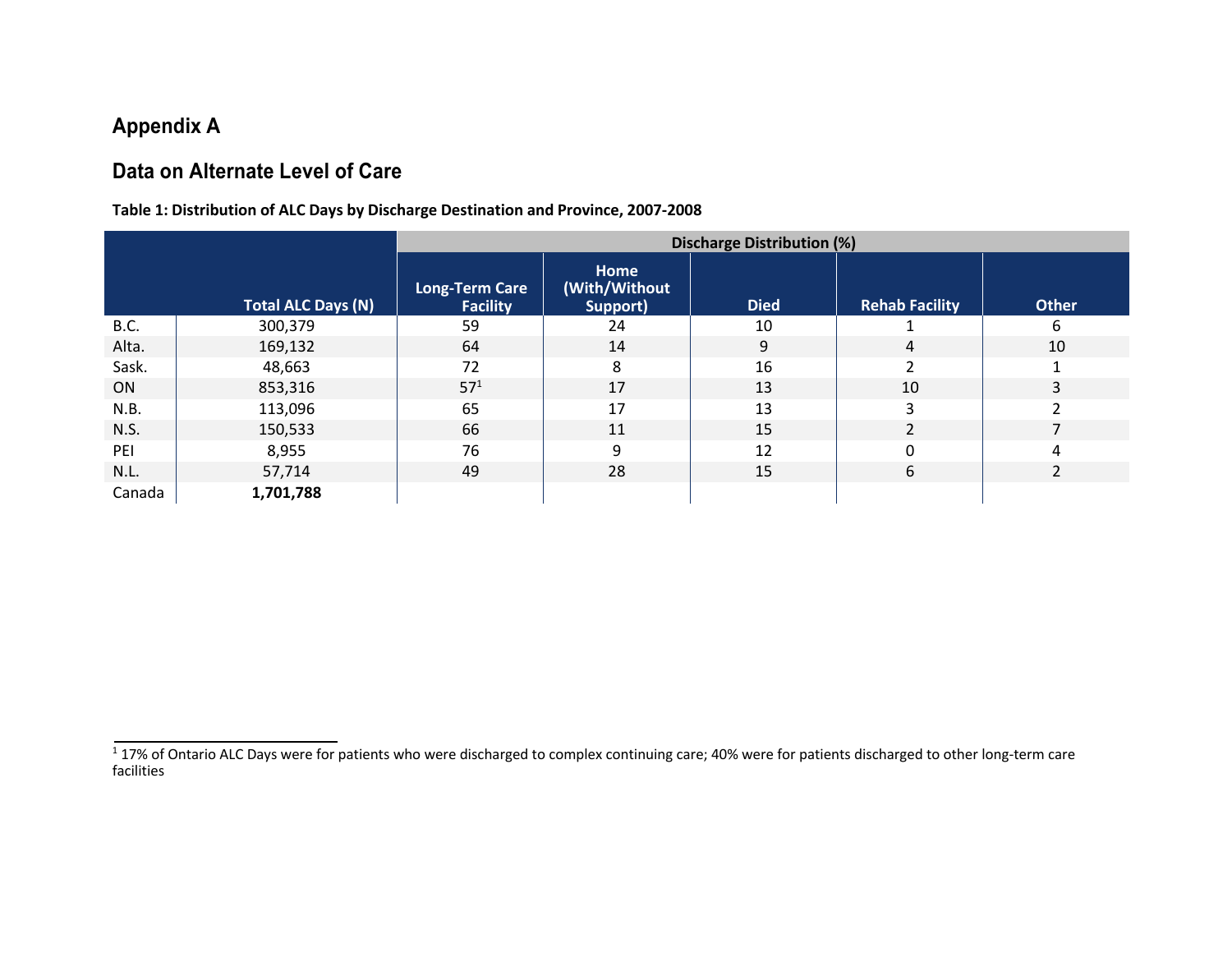# **Appendix A**

# **Data on Alternate Level of Care**

## **Table 1: Distribution of ALC Days by Discharge Destination and Province, 2007-2008**

|        |                           | <b>Discharge Distribution (%)</b>        |                                   |             |                       |                |
|--------|---------------------------|------------------------------------------|-----------------------------------|-------------|-----------------------|----------------|
|        | <b>Total ALC Days (N)</b> | <b>Long-Term Care</b><br><b>Facility</b> | Home<br>(With/Without<br>Support) | <b>Died</b> | <b>Rehab Facility</b> | <b>Other</b>   |
| B.C.   | 300,379                   | 59                                       | 24                                | 10          |                       | 6              |
| Alta.  | 169,132                   | 64                                       | 14                                | 9           | 4                     | 10             |
| Sask.  | 48,663                    | 72                                       | 8                                 | 16          |                       |                |
| ON     | 853,316                   | 57 <sup>1</sup>                          | 17                                | 13          | 10                    | 3              |
| N.B.   | 113,096                   | 65                                       | 17                                | 13          | 3                     |                |
| N.S.   | 150,533                   | 66                                       | 11                                | 15          | $\overline{2}$        |                |
| PEI    | 8,955                     | 76                                       | q                                 | 12          | $\Omega$              | 4              |
| N.L.   | 57,714                    | 49                                       | 28                                | 15          | 6                     | $\overline{2}$ |
| Canada | 1,701,788                 |                                          |                                   |             |                       |                |

 $^{1}$  17% of Ontario ALC Days were for patients who were discharged to complex continuing care; 40% were for patients discharged to other long-term care facilities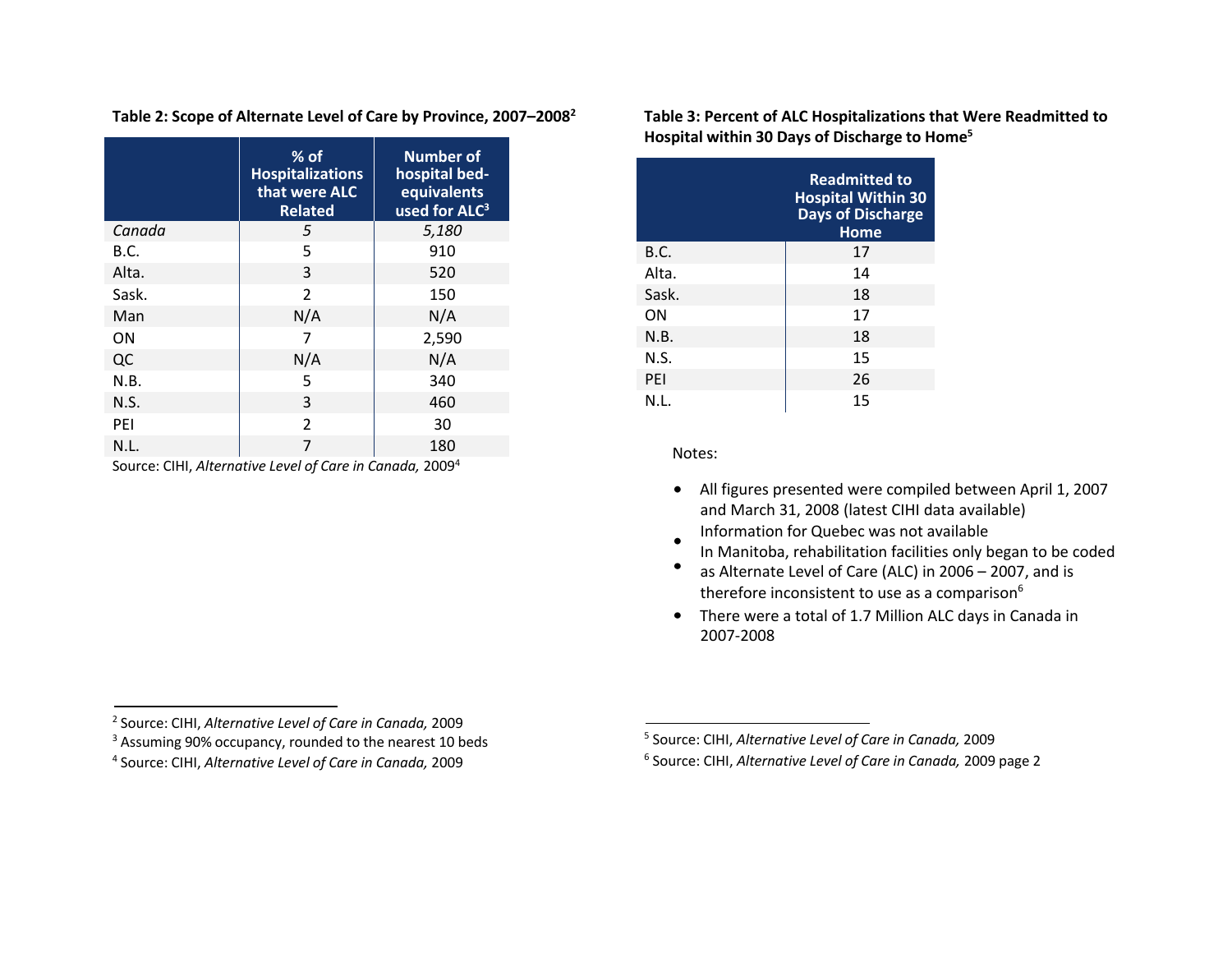|        | $%$ of<br><b>Hospitalizations</b><br>that were ALC<br><b>Related</b> | <b>Number of</b><br>hospital bed-<br>equivalents<br>used for ALC <sup>3</sup> |
|--------|----------------------------------------------------------------------|-------------------------------------------------------------------------------|
| Canada | 5                                                                    | 5,180                                                                         |
| B.C.   | 5                                                                    | 910                                                                           |
| Alta.  | 3                                                                    | 520                                                                           |
| Sask.  | 2                                                                    | 150                                                                           |
| Man    | N/A                                                                  | N/A                                                                           |
| ON     | 7                                                                    | 2,590                                                                         |
| QC     | N/A                                                                  | N/A                                                                           |
| N.B.   | 5                                                                    | 340                                                                           |
| N.S.   | 3                                                                    | 460                                                                           |
| PFI    | $\mathcal{P}$                                                        | 30                                                                            |
| N.L.   | 7                                                                    | 180                                                                           |

**Table 2: Scope of Alternate Level of Care by Province, 2007–20082**

Source: CIHI, *Alternative Level of Care in Canada,* 20094

**Table 3: Percent of ALC Hospitalizations that Were Readmitted to Hospital within 30 Days of Discharge to Home5**

|       | <b>Readmitted to</b><br><b>Hospital Within 30</b><br><b>Days of Discharge</b><br>Home |
|-------|---------------------------------------------------------------------------------------|
| B.C.  | 17                                                                                    |
| Alta. | 14                                                                                    |
| Sask. | 18                                                                                    |
| ON    | 17                                                                                    |
| N.B.  | 18                                                                                    |
| N.S.  | 15                                                                                    |
| PEI   | 26                                                                                    |
| N.L.  | 15                                                                                    |

Notes:

- All figures presented were compiled between April 1, 2007 and March 31, 2008 (latest CIHI data available) Information for Quebec was not available
- In Manitoba, rehabilitation facilities only began to be coded
- as Alternate Level of Care (ALC) in 2006 2007, and is therefore inconsistent to use as a comparison<sup>6</sup>
- There were a total of 1.7 Million ALC days in Canada in 2007-2008

<sup>2</sup> Source: CIHI, *Alternative Level of Care in Canada,* 2009

<sup>&</sup>lt;sup>3</sup> Assuming 90% occupancy, rounded to the nearest 10 beds

<sup>4</sup> Source: CIHI, *Alternative Level of Care in Canada,* 2009

<sup>5</sup> Source: CIHI, *Alternative Level of Care in Canada,* 2009

<sup>6</sup> Source: CIHI, *Alternative Level of Care in Canada,* 2009 page 2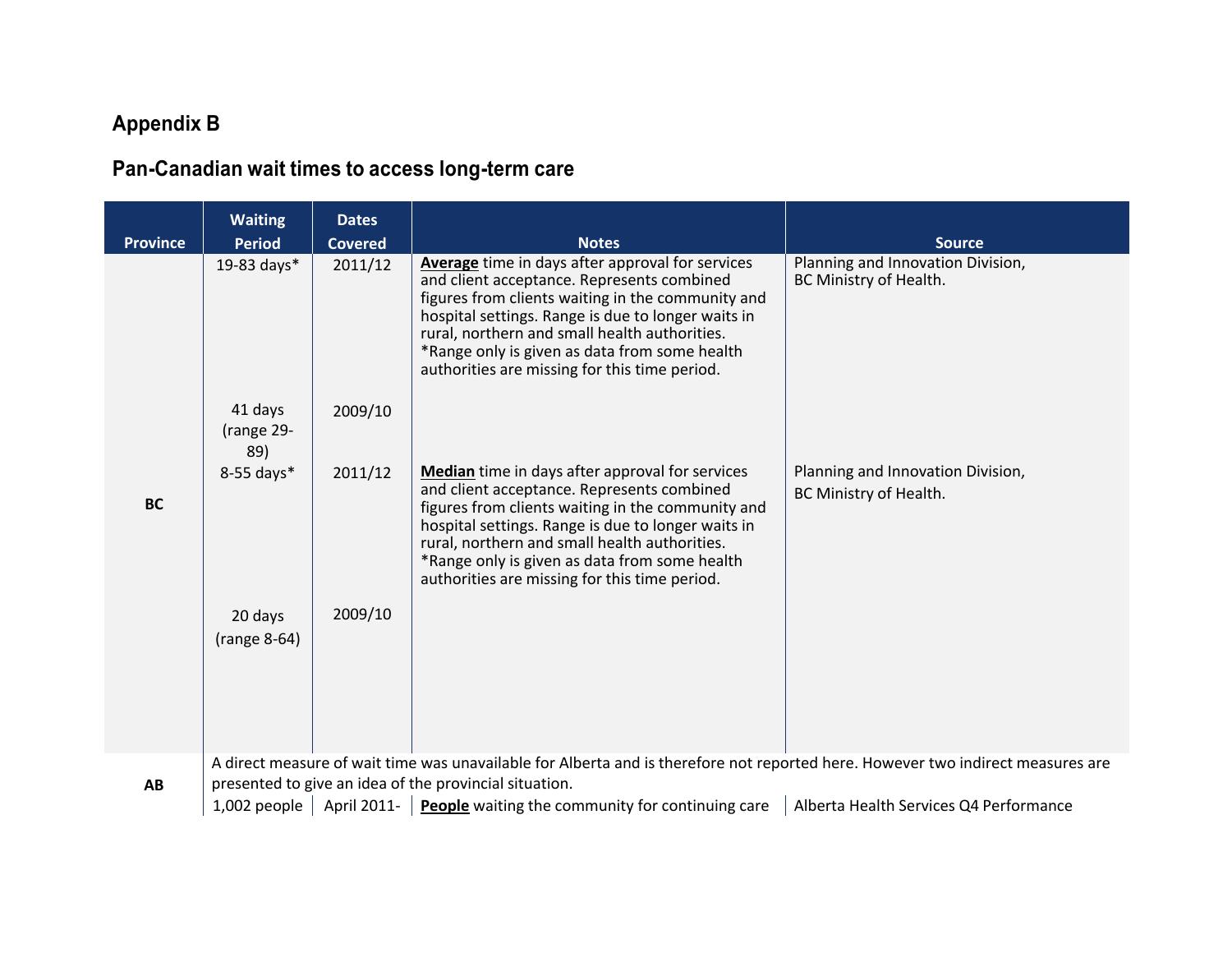# **Appendix B**

# **Pan-Canadian wait times to access long-term care**

| <b>Province</b> | <b>Waiting</b><br><b>Period</b>                                                                                                 | <b>Dates</b><br><b>Covered</b> | <b>Notes</b>                                                                                                                                                                                                                                                                                                                                                 | <b>Source</b>                                               |
|-----------------|---------------------------------------------------------------------------------------------------------------------------------|--------------------------------|--------------------------------------------------------------------------------------------------------------------------------------------------------------------------------------------------------------------------------------------------------------------------------------------------------------------------------------------------------------|-------------------------------------------------------------|
|                 | 19-83 days*                                                                                                                     | 2011/12                        | Average time in days after approval for services<br>and client acceptance. Represents combined<br>figures from clients waiting in the community and<br>hospital settings. Range is due to longer waits in<br>rural, northern and small health authorities.<br>*Range only is given as data from some health<br>authorities are missing for this time period. | Planning and Innovation Division,<br>BC Ministry of Health. |
|                 | 41 days<br>(range 29-<br>89)                                                                                                    | 2009/10                        |                                                                                                                                                                                                                                                                                                                                                              |                                                             |
| <b>BC</b>       | 8-55 days*                                                                                                                      | 2011/12                        | Median time in days after approval for services<br>and client acceptance. Represents combined<br>figures from clients waiting in the community and<br>hospital settings. Range is due to longer waits in<br>rural, northern and small health authorities.<br>*Range only is given as data from some health<br>authorities are missing for this time period.  | Planning and Innovation Division,<br>BC Ministry of Health. |
|                 | 20 days<br>(range 8-64)                                                                                                         | 2009/10                        |                                                                                                                                                                                                                                                                                                                                                              |                                                             |
|                 | A direct measure of wait time was unavailable for Alberta and is therefore not reported here. However two indirect measures are |                                |                                                                                                                                                                                                                                                                                                                                                              |                                                             |

presented to give an idea of the provincial situation.

1,002 people | April 2011- **People** waiting the community for continuing care | Alberta Health Services Q4 Performance

**AB**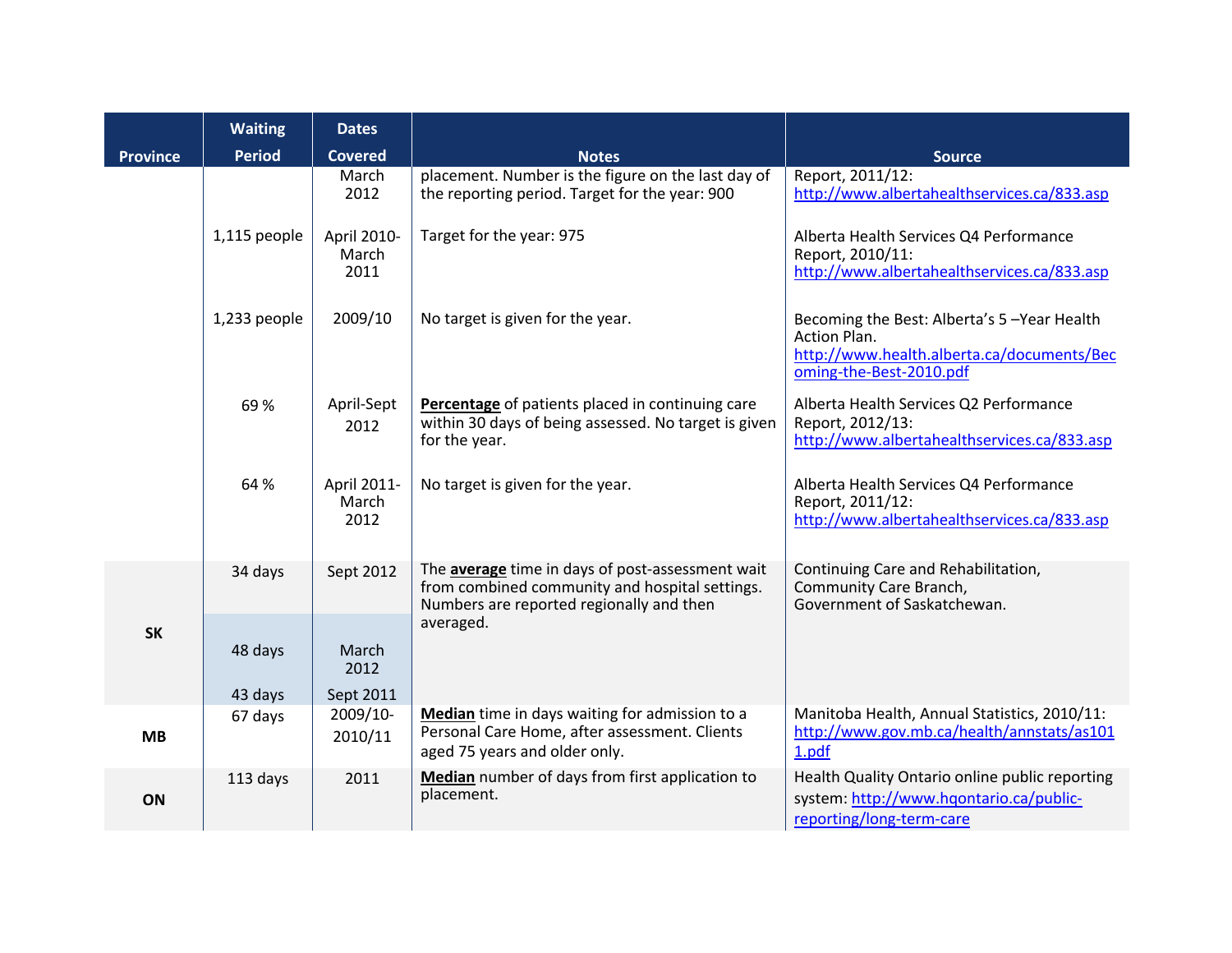|                 | <b>Waiting</b>     | <b>Dates</b>                 |                                                                                                                                                |                                                                                                                                            |
|-----------------|--------------------|------------------------------|------------------------------------------------------------------------------------------------------------------------------------------------|--------------------------------------------------------------------------------------------------------------------------------------------|
| <b>Province</b> | <b>Period</b>      | <b>Covered</b>               | <b>Notes</b>                                                                                                                                   | <b>Source</b>                                                                                                                              |
|                 |                    | March<br>2012                | placement. Number is the figure on the last day of<br>the reporting period. Target for the year: 900                                           | Report, 2011/12:<br>http://www.albertahealthservices.ca/833.asp                                                                            |
|                 | 1,115 people       | April 2010-<br>March<br>2011 | Target for the year: 975                                                                                                                       | Alberta Health Services Q4 Performance<br>Report, 2010/11:<br>http://www.albertahealthservices.ca/833.asp                                  |
|                 | 1,233 people       | 2009/10                      | No target is given for the year.                                                                                                               | Becoming the Best: Alberta's 5-Year Health<br><b>Action Plan.</b><br>http://www.health.alberta.ca/documents/Bec<br>oming-the-Best-2010.pdf |
|                 | 69%                | April-Sept<br>2012           | Percentage of patients placed in continuing care<br>within 30 days of being assessed. No target is given<br>for the year.                      | Alberta Health Services Q2 Performance<br>Report, 2012/13:<br>http://www.albertahealthservices.ca/833.asp                                  |
|                 | 64 %               | April 2011-<br>March<br>2012 | No target is given for the year.                                                                                                               | Alberta Health Services Q4 Performance<br>Report, 2011/12:<br>http://www.albertahealthservices.ca/833.asp                                  |
|                 | 34 days            | Sept 2012                    | The average time in days of post-assessment wait<br>from combined community and hospital settings.<br>Numbers are reported regionally and then | Continuing Care and Rehabilitation,<br>Community Care Branch,<br>Government of Saskatchewan.                                               |
| <b>SK</b>       | 48 days<br>43 days | March<br>2012<br>Sept 2011   | averaged.                                                                                                                                      |                                                                                                                                            |
| <b>MB</b>       | 67 days            | 2009/10-<br>2010/11          | Median time in days waiting for admission to a<br>Personal Care Home, after assessment. Clients<br>aged 75 years and older only.               | Manitoba Health, Annual Statistics, 2010/11:<br>http://www.gov.mb.ca/health/annstats/as101<br>1.pdf                                        |
| ON              | 113 days           | 2011                         | Median number of days from first application to<br>placement.                                                                                  | Health Quality Ontario online public reporting<br>system: http://www.hqontario.ca/public-<br>reporting/long-term-care                      |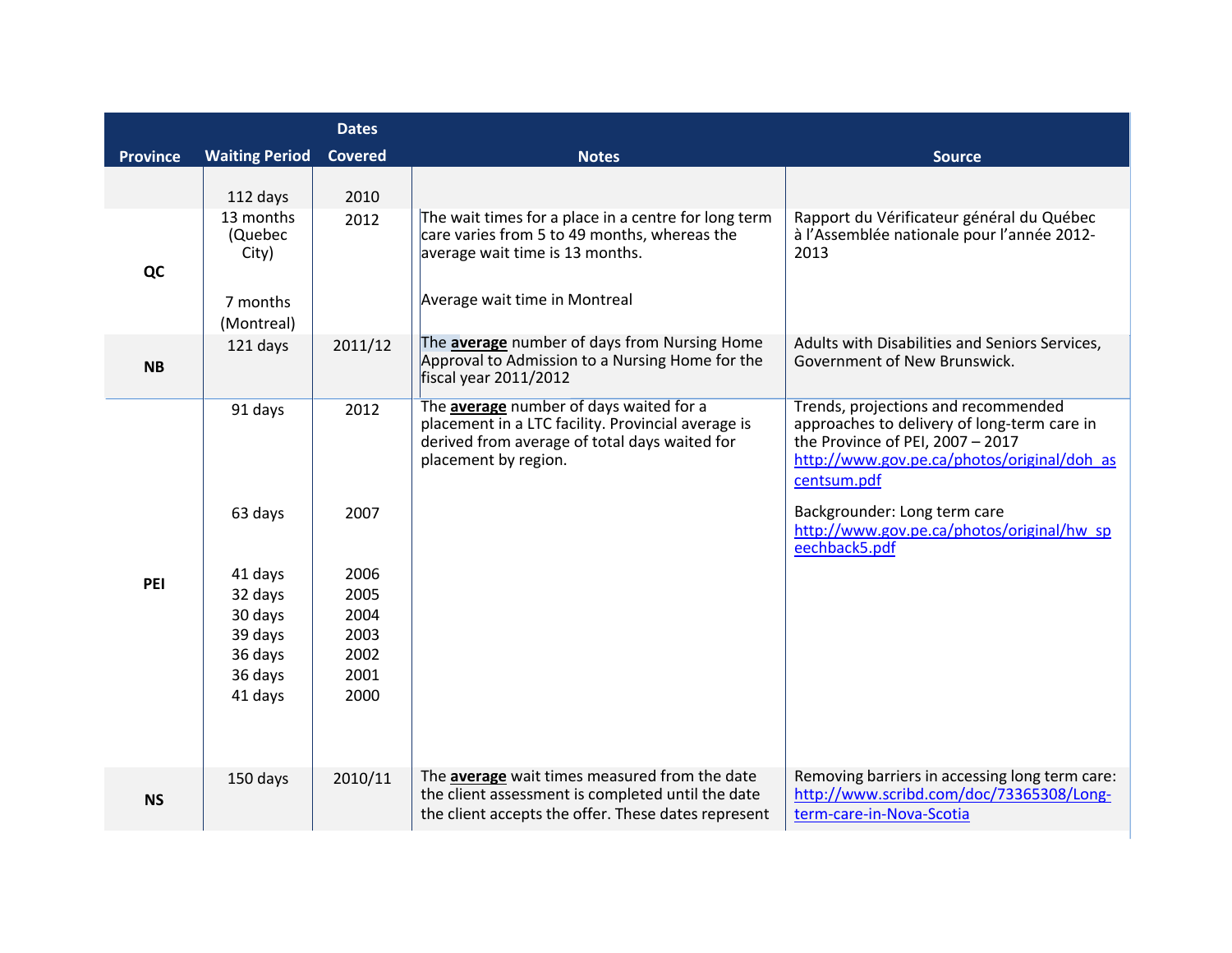|                 |                                                                                                 | <b>Dates</b>                                                         |                                                                                                                                                                          |                                                                                                                                                                                                                                                                                       |
|-----------------|-------------------------------------------------------------------------------------------------|----------------------------------------------------------------------|--------------------------------------------------------------------------------------------------------------------------------------------------------------------------|---------------------------------------------------------------------------------------------------------------------------------------------------------------------------------------------------------------------------------------------------------------------------------------|
| <b>Province</b> | <b>Waiting Period</b>                                                                           | <b>Covered</b>                                                       | <b>Notes</b>                                                                                                                                                             | <b>Source</b>                                                                                                                                                                                                                                                                         |
|                 | 112 days                                                                                        | 2010                                                                 |                                                                                                                                                                          |                                                                                                                                                                                                                                                                                       |
| QC              | 13 months<br>(Quebec<br>City)<br>7 months<br>(Montreal)                                         | 2012                                                                 | The wait times for a place in a centre for long term<br>care varies from 5 to 49 months, whereas the<br>average wait time is 13 months.<br>Average wait time in Montreal | Rapport du Vérificateur général du Québec<br>à l'Assemblée nationale pour l'année 2012-<br>2013                                                                                                                                                                                       |
| <b>NB</b>       | 121 days                                                                                        | 2011/12                                                              | The average number of days from Nursing Home<br>Approval to Admission to a Nursing Home for the<br>fiscal year 2011/2012                                                 | Adults with Disabilities and Seniors Services,<br>Government of New Brunswick.                                                                                                                                                                                                        |
| PEI             | 91 days<br>63 days<br>41 days<br>32 days<br>30 days<br>39 days<br>36 days<br>36 days<br>41 days | 2012<br>2007<br>2006<br>2005<br>2004<br>2003<br>2002<br>2001<br>2000 | The average number of days waited for a<br>placement in a LTC facility. Provincial average is<br>derived from average of total days waited for<br>placement by region.   | Trends, projections and recommended<br>approaches to delivery of long-term care in<br>the Province of PEI, $2007 - 2017$<br>http://www.gov.pe.ca/photos/original/doh as<br>centsum.pdf<br>Backgrounder: Long term care<br>http://www.gov.pe.ca/photos/original/hw sp<br>eechback5.pdf |
| <b>NS</b>       | 150 days                                                                                        | 2010/11                                                              | The <b>average</b> wait times measured from the date<br>the client assessment is completed until the date<br>the client accepts the offer. These dates represent         | Removing barriers in accessing long term care:<br>http://www.scribd.com/doc/73365308/Long-<br>term-care-in-Nova-Scotia                                                                                                                                                                |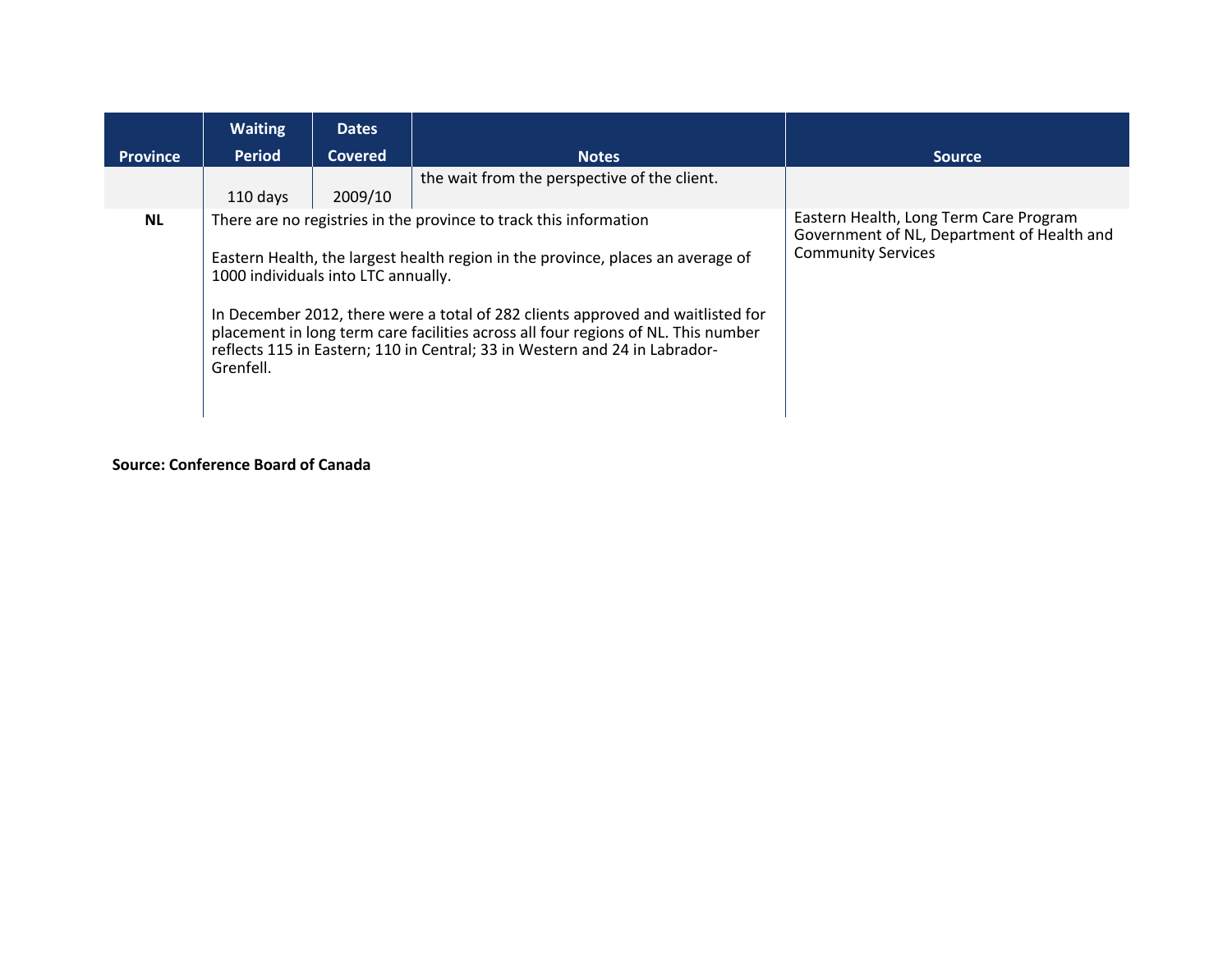|                 | <b>Waiting</b>                                   | <b>Dates</b>   |                                                                                                                                                                                                                                                                                                                                                                                                            |                                                                                                                   |
|-----------------|--------------------------------------------------|----------------|------------------------------------------------------------------------------------------------------------------------------------------------------------------------------------------------------------------------------------------------------------------------------------------------------------------------------------------------------------------------------------------------------------|-------------------------------------------------------------------------------------------------------------------|
| <b>Province</b> | <b>Period</b>                                    | <b>Covered</b> | <b>Notes</b>                                                                                                                                                                                                                                                                                                                                                                                               | <b>Source</b>                                                                                                     |
|                 | 110 days                                         | 2009/10        | the wait from the perspective of the client.                                                                                                                                                                                                                                                                                                                                                               |                                                                                                                   |
| <b>NL</b>       | 1000 individuals into LTC annually.<br>Grenfell. |                | There are no registries in the province to track this information<br>Eastern Health, the largest health region in the province, places an average of<br>In December 2012, there were a total of 282 clients approved and waitlisted for<br>placement in long term care facilities across all four regions of NL. This number<br>reflects 115 in Eastern; 110 in Central; 33 in Western and 24 in Labrador- | Eastern Health, Long Term Care Program<br>Government of NL, Department of Health and<br><b>Community Services</b> |

## **Source: Conference Board of Canada**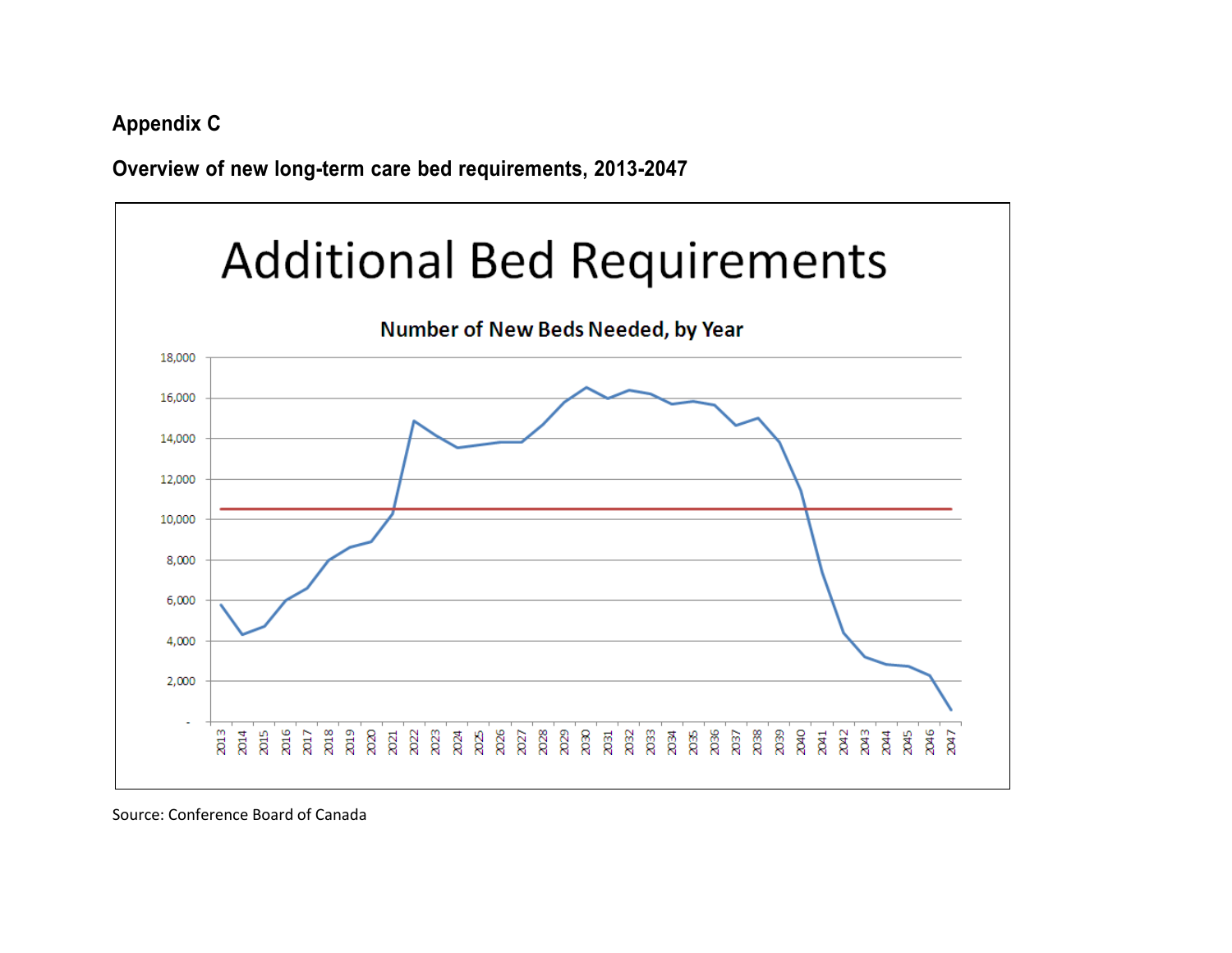**Appendix C**

**Overview of new long-term care bed requirements, 2013-2047**



Source: Conference Board of Canada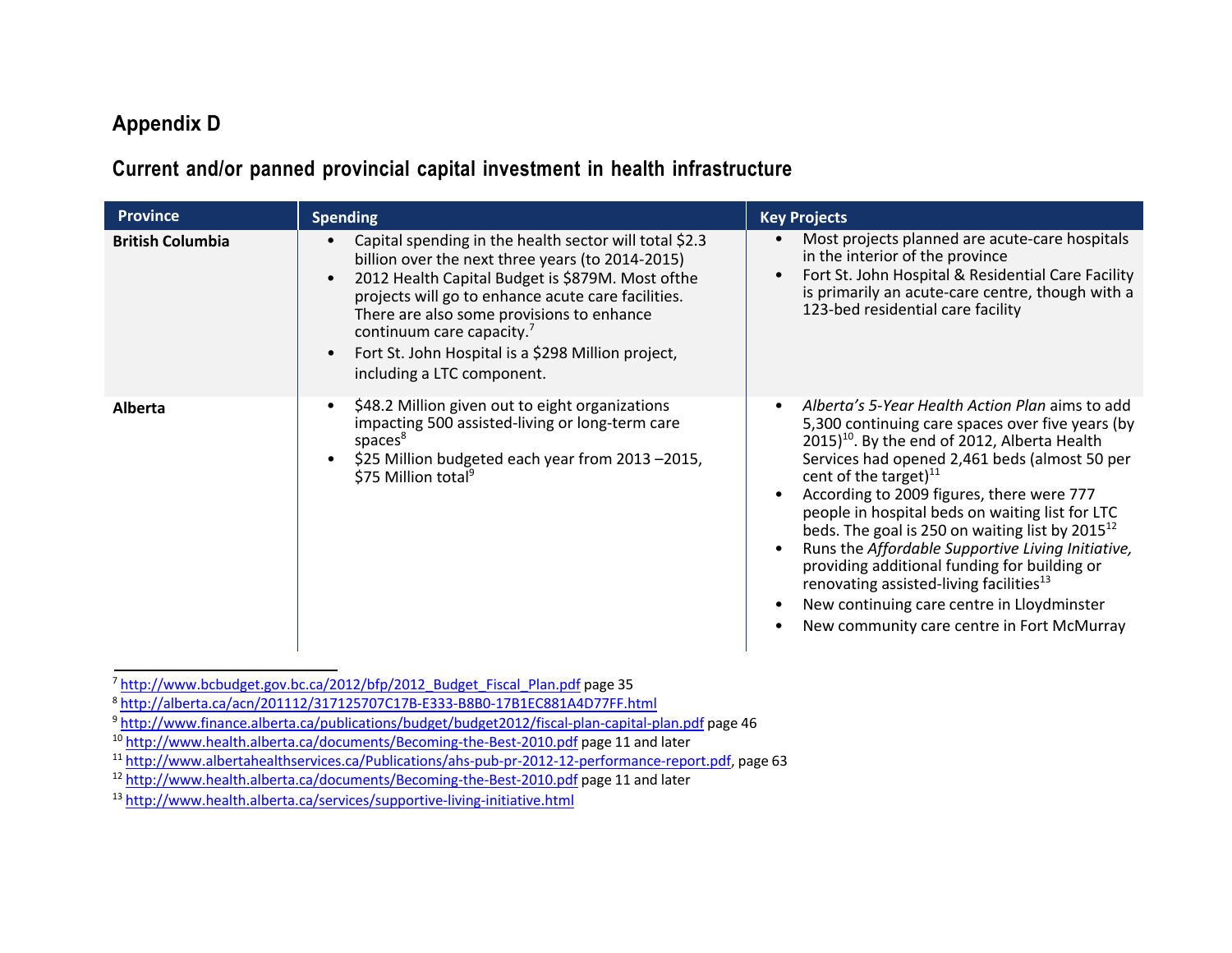# **Appendix D**

# **Current and/or panned provincial capital investment in health infrastructure**

| <b>Province</b>         | <b>Spending</b>                                                                                                                                                                                                                                                                                                                                                                                             | <b>Key Projects</b>                                                                                                                                                                                                                                                                                                                                                                                                                                                                                                                                                                                                                                                                                                              |
|-------------------------|-------------------------------------------------------------------------------------------------------------------------------------------------------------------------------------------------------------------------------------------------------------------------------------------------------------------------------------------------------------------------------------------------------------|----------------------------------------------------------------------------------------------------------------------------------------------------------------------------------------------------------------------------------------------------------------------------------------------------------------------------------------------------------------------------------------------------------------------------------------------------------------------------------------------------------------------------------------------------------------------------------------------------------------------------------------------------------------------------------------------------------------------------------|
| <b>British Columbia</b> | Capital spending in the health sector will total \$2.3<br>billion over the next three years (to 2014-2015)<br>2012 Health Capital Budget is \$879M. Most ofthe<br>projects will go to enhance acute care facilities.<br>There are also some provisions to enhance<br>continuum care capacity. <sup>7</sup><br>Fort St. John Hospital is a \$298 Million project,<br>$\bullet$<br>including a LTC component. | Most projects planned are acute-care hospitals<br>$\bullet$<br>in the interior of the province<br>Fort St. John Hospital & Residential Care Facility<br>$\bullet$<br>is primarily an acute-care centre, though with a<br>123-bed residential care facility                                                                                                                                                                                                                                                                                                                                                                                                                                                                       |
| <b>Alberta</b>          | \$48.2 Million given out to eight organizations<br>impacting 500 assisted-living or long-term care<br>spaces <sup>8</sup><br>\$25 Million budgeted each year from 2013 -2015,<br>\$75 Million total <sup>9</sup>                                                                                                                                                                                            | Alberta's 5-Year Health Action Plan aims to add<br>$\bullet$<br>5,300 continuing care spaces over five years (by<br>2015) <sup>10</sup> . By the end of 2012, Alberta Health<br>Services had opened 2,461 beds (almost 50 per<br>cent of the target) $^{11}$<br>According to 2009 figures, there were 777<br>$\bullet$<br>people in hospital beds on waiting list for LTC<br>beds. The goal is 250 on waiting list by $2015^{12}$<br>Runs the Affordable Supportive Living Initiative,<br>$\bullet$<br>providing additional funding for building or<br>renovating assisted-living facilities <sup>13</sup><br>New continuing care centre in Lloydminster<br>$\bullet$<br>New community care centre in Fort McMurray<br>$\bullet$ |

<sup>7</sup> [http://www.bcbudget.gov.bc.ca/2012/bfp/2012\\_Budget\\_Fiscal\\_Plan.pdf](http://www.bcbudget.gov.bc.ca/2012/bfp/2012_Budget_Fiscal_Plan.pdf) page 35

<sup>8</sup> <http://alberta.ca/acn/201112/317125707C17B-E333-B8B0-17B1EC881A4D77FF.html>

<sup>9&</sup>lt;br><http://www.finance.alberta.ca/publications/budget/budget2012/fiscal-plan-capital-plan.pdf> page 46

<sup>10</sup> <http://www.health.alberta.ca/documents/Becoming-the-Best-2010.pdf> page 11 and later

 $\frac{11 \text{http://www.albertahealthservices.ca/Publications/ahs-pub-pr-2012-12-performance-report.pdf}}{0.11 \text{http://www.health.alberta.ca/documents/Because-the-Best-2010.pdf}}$  page 11 and later

<sup>13</sup> <http://www.health.alberta.ca/services/supportive-living-initiative.html>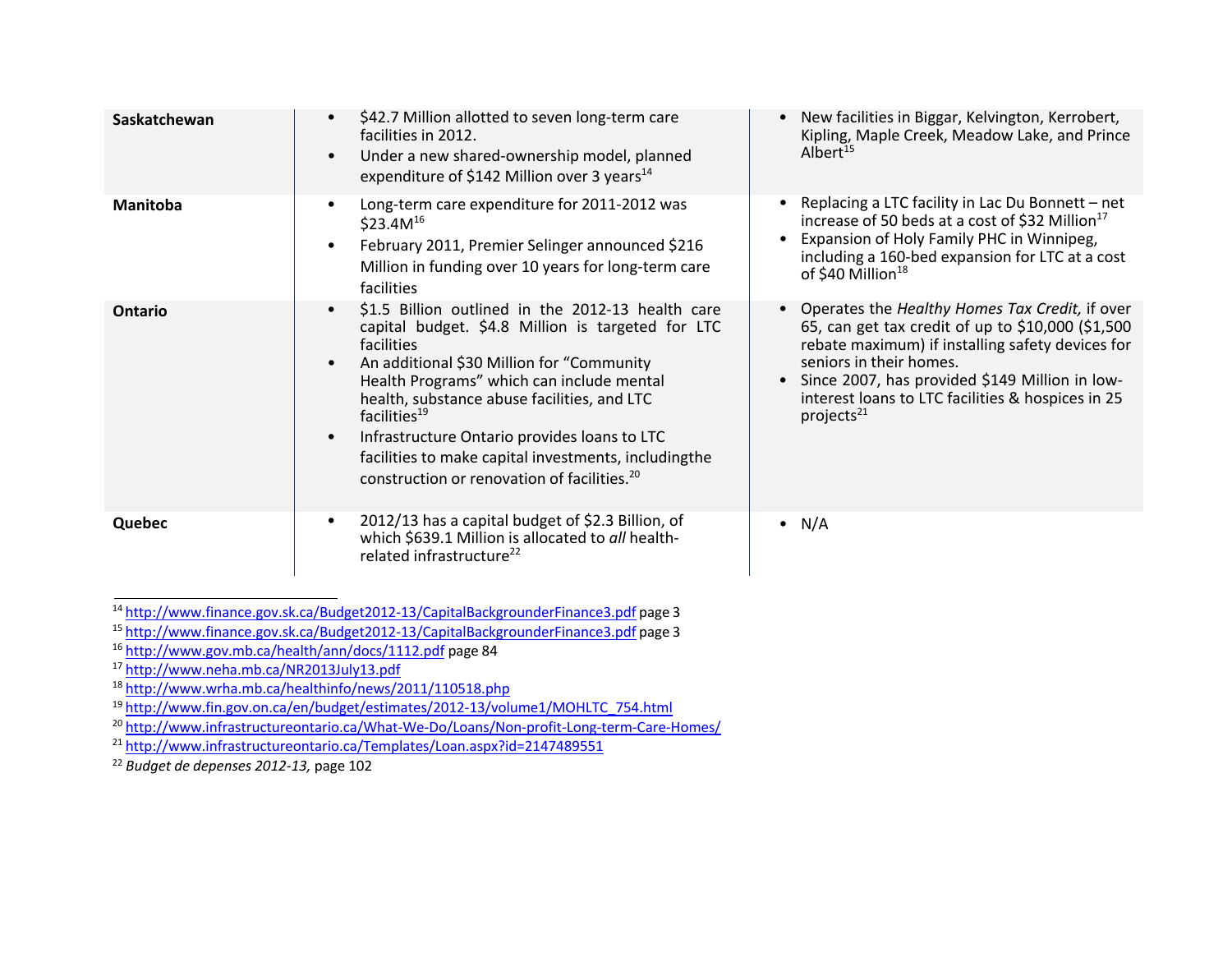| Saskatchewan    | \$42.7 Million allotted to seven long-term care<br>$\bullet$<br>facilities in 2012.<br>Under a new shared-ownership model, planned<br>$\bullet$<br>expenditure of \$142 Million over 3 years <sup>14</sup>                                                                                                                                                                                                                                                                             | New facilities in Biggar, Kelvington, Kerrobert,<br>Kipling, Maple Creek, Meadow Lake, and Prince<br>Albert <sup>15</sup>                                                                                                                                                                                                         |
|-----------------|----------------------------------------------------------------------------------------------------------------------------------------------------------------------------------------------------------------------------------------------------------------------------------------------------------------------------------------------------------------------------------------------------------------------------------------------------------------------------------------|-----------------------------------------------------------------------------------------------------------------------------------------------------------------------------------------------------------------------------------------------------------------------------------------------------------------------------------|
| <b>Manitoba</b> | Long-term care expenditure for 2011-2012 was<br>\$23.4 $M^{16}$<br>February 2011, Premier Selinger announced \$216<br>$\bullet$<br>Million in funding over 10 years for long-term care<br>facilities                                                                                                                                                                                                                                                                                   | Replacing a LTC facility in Lac Du Bonnett – net<br>increase of 50 beds at a cost of \$32 Million <sup>17</sup><br>Expansion of Holy Family PHC in Winnipeg,<br>including a 160-bed expansion for LTC at a cost<br>of \$40 Million <sup>18</sup>                                                                                  |
| Ontario         | \$1.5 Billion outlined in the 2012-13 health care<br>$\bullet$<br>capital budget. \$4.8 Million is targeted for LTC<br>facilities<br>An additional \$30 Million for "Community<br>Health Programs" which can include mental<br>health, substance abuse facilities, and LTC<br>facilities <sup>19</sup><br>Infrastructure Ontario provides loans to LTC<br>$\bullet$<br>facilities to make capital investments, includingthe<br>construction or renovation of facilities. <sup>20</sup> | Operates the Healthy Homes Tax Credit, if over<br>65, can get tax credit of up to \$10,000 (\$1,500)<br>rebate maximum) if installing safety devices for<br>seniors in their homes.<br>Since 2007, has provided \$149 Million in low-<br>$\bullet$<br>interest loans to LTC facilities & hospices in 25<br>projects <sup>21</sup> |
| Quebec          | 2012/13 has a capital budget of \$2.3 Billion, of<br>$\bullet$<br>which \$639.1 Million is allocated to all health-<br>related infrastructure <sup>22</sup>                                                                                                                                                                                                                                                                                                                            | $\bullet$ N/A                                                                                                                                                                                                                                                                                                                     |

<sup>17</sup> <http://www.neha.mb.ca/NR2013July13.pdf>

<sup>18</sup> <http://www.wrha.mb.ca/healthinfo/news/2011/110518.php>

<sup>19</sup> [http://www.fin.gov.on.ca/en/budget/estimates/2012-13/volume1/MOHLTC\\_754.html](http://www.fin.gov.on.ca/en/budget/estimates/2012-13/volume1/MOHLTC_754.html)

<sup>20</sup> <http://www.infrastructureontario.ca/What-We-Do/Loans/Non-profit-Long-term-Care-Homes/>

<sup>21</sup> <http://www.infrastructureontario.ca/Templates/Loan.aspx?id=2147489551>

<sup>22</sup> *Budget de depenses 2012-13,* page 102

<sup>&</sup>lt;sup>14</sup> http://www.finance.gov.sk.ca/Budget2012-13/CapitalBackgrounderFinance3.pdf page 3<br><sup>15</sup> http://www.finance.gov.sk.ca/Budget2012-13/CapitalBackgrounderFinance3.pdf page 3<br><sup>16</sup> http://www.gov.mb.ca/health/ann/docs/1112.p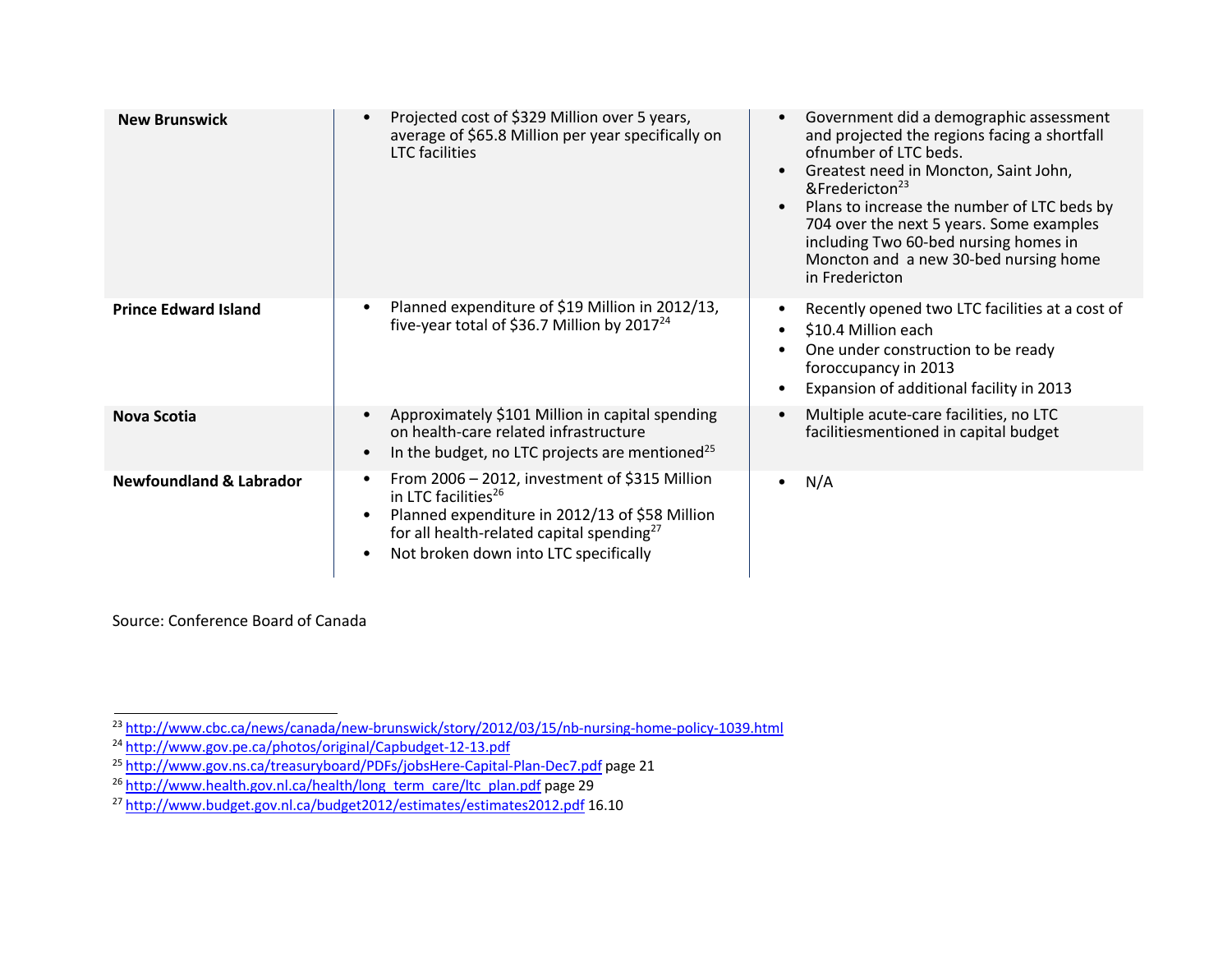| <b>New Brunswick</b>               | Projected cost of \$329 Million over 5 years,<br>average of \$65.8 Million per year specifically on<br><b>LTC</b> facilities                                                                                                         | Government did a demographic assessment<br>and projected the regions facing a shortfall<br>ofnumber of LTC beds.<br>Greatest need in Moncton, Saint John,<br>&Fredericton <sup>23</sup><br>Plans to increase the number of LTC beds by<br>704 over the next 5 years. Some examples<br>including Two 60-bed nursing homes in<br>Moncton and a new 30-bed nursing home<br>in Fredericton |
|------------------------------------|--------------------------------------------------------------------------------------------------------------------------------------------------------------------------------------------------------------------------------------|----------------------------------------------------------------------------------------------------------------------------------------------------------------------------------------------------------------------------------------------------------------------------------------------------------------------------------------------------------------------------------------|
| <b>Prince Edward Island</b>        | Planned expenditure of \$19 Million in 2012/13,<br>five-year total of \$36.7 Million by 2017 <sup>24</sup>                                                                                                                           | Recently opened two LTC facilities at a cost of<br>\$10.4 Million each<br>One under construction to be ready<br>foroccupancy in 2013<br>Expansion of additional facility in 2013                                                                                                                                                                                                       |
| <b>Nova Scotia</b>                 | Approximately \$101 Million in capital spending<br>on health-care related infrastructure<br>In the budget, no LTC projects are mentioned <sup>25</sup>                                                                               | Multiple acute-care facilities, no LTC<br>facilitiesmentioned in capital budget                                                                                                                                                                                                                                                                                                        |
| <b>Newfoundland &amp; Labrador</b> | From 2006 - 2012, investment of \$315 Million<br>in LTC facilities <sup>26</sup><br>Planned expenditure in 2012/13 of \$58 Million<br>for all health-related capital spending <sup>27</sup><br>Not broken down into LTC specifically | N/A<br>$\bullet$                                                                                                                                                                                                                                                                                                                                                                       |

Source: Conference Board of Canada

<sup>&</sup>lt;sup>23</sup> <http://www.cbc.ca/news/canada/new-brunswick/story/2012/03/15/nb-nursing-home-policy-1039.html>

<sup>&</sup>lt;sup>24</sup> <http://www.gov.pe.ca/photos/original/Capbudget-12-13.pdf>

<sup>&</sup>lt;sup>25</sup> <http://www.gov.ns.ca/treasuryboard/PDFs/jobsHere-Capital-Plan-Dec7.pdf> page 21

<sup>&</sup>lt;sup>26</sup> [http://www.health.gov.nl.ca/health/long\\_term\\_care/ltc\\_plan.pdf](http://www.health.gov.nl.ca/health/long_term_care/ltc_plan.pdf) page 29

<sup>&</sup>lt;sup>27</sup> <http://www.budget.gov.nl.ca/budget2012/estimates/estimates2012.pdf> 16.10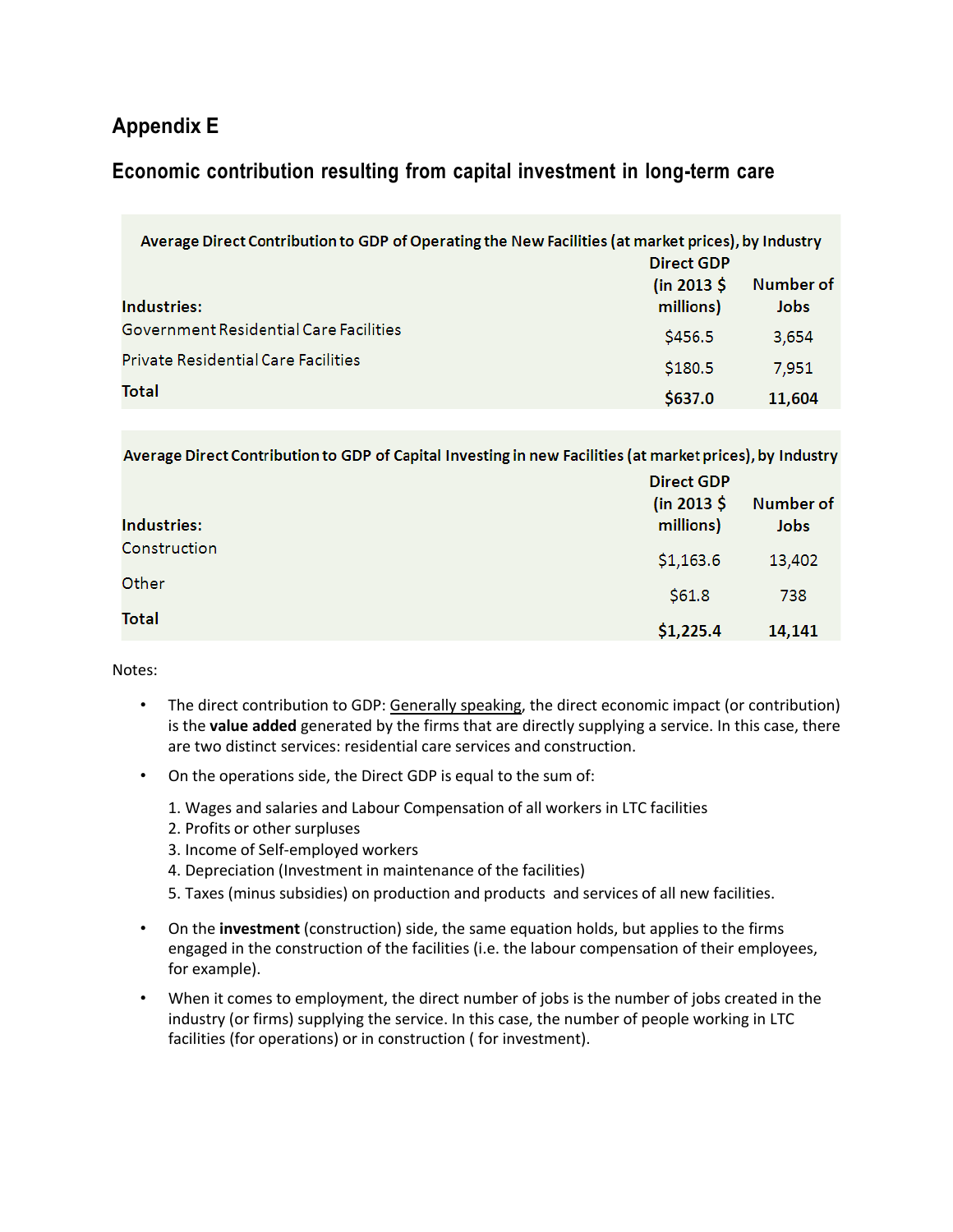# **Appendix E**

# **Economic contribution resulting from capital investment in long-term care**

| Average Direct Contribution to GDP of Operating the New Facilities (at market prices), by Industry<br>Direct GDP |                          |                   |  |
|------------------------------------------------------------------------------------------------------------------|--------------------------|-------------------|--|
| Industries:                                                                                                      | (in 2013 \$<br>millions) | Number of<br>Jobs |  |
| Government Residential Care Facilities                                                                           | \$456.5                  | 3,654             |  |
| <b>Private Residential Care Facilities</b>                                                                       | \$180.5                  | 7,951             |  |
| Total                                                                                                            | \$637.0                  | 11,604            |  |

Average Direct Contribution to GDP of Capital Investing in new Facilities (at market prices), by Industry

| Industries:  | <b>Direct GDP</b><br>(in 2013 \$<br>millions) | Number of<br>Jobs |
|--------------|-----------------------------------------------|-------------------|
| Construction | \$1,163.6                                     | 13,402            |
| Other        | \$61.8                                        | 738               |
| <b>Total</b> | \$1,225.4                                     | 14,141            |

Notes:

- The direct contribution to GDP: Generally speaking, the direct economic impact (or contribution) is the **value added** generated by the firms that are directly supplying a service. In this case, there are two distinct services: residential care services and construction.
- On the operations side, the Direct GDP is equal to the sum of:
	- 1. Wages and salaries and Labour Compensation of all workers in LTC facilities
	- 2. Profits or other surpluses
	- 3. Income of Self-employed workers
	- 4. Depreciation (Investment in maintenance of the facilities)
	- 5. Taxes (minus subsidies) on production and products and services of all new facilities.
- On the **investment** (construction) side, the same equation holds, but applies to the firms engaged in the construction of the facilities (i.e. the labour compensation of their employees, for example).
- When it comes to employment, the direct number of jobs is the number of jobs created in the industry (or firms) supplying the service. In this case, the number of people working in LTC facilities (for operations) or in construction ( for investment).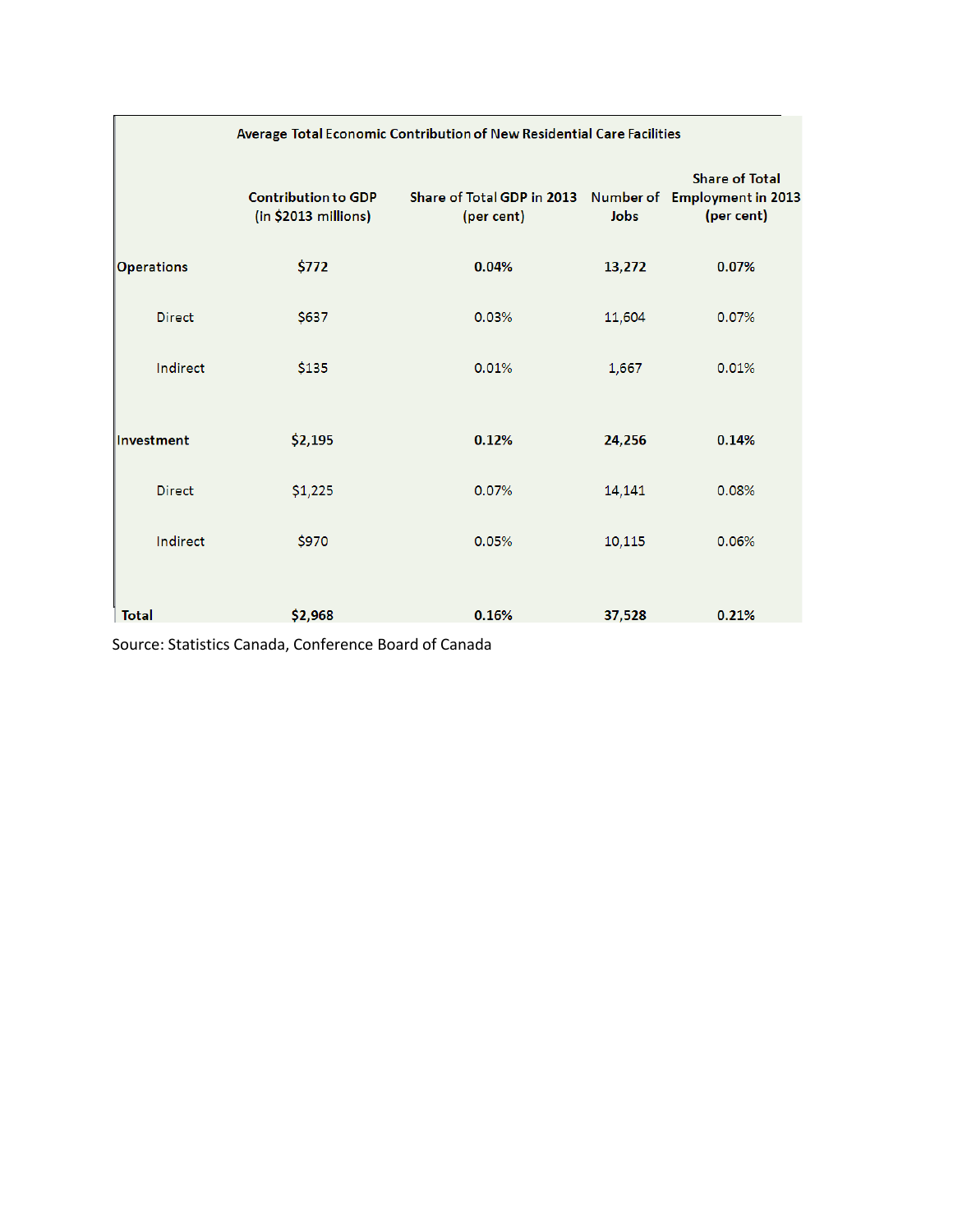|                   | Average Total Economic Contribution of New Residential Care Facilities |                                          |        |                                                                     |  |
|-------------------|------------------------------------------------------------------------|------------------------------------------|--------|---------------------------------------------------------------------|--|
|                   | <b>Contribution to GDP</b><br>$(in $2013$ millions)                    | Share of Total GDP in 2013<br>(per cent) | Jobs   | <b>Share of Total</b><br>Number of Employment in 2013<br>(per cent) |  |
| <b>Operations</b> | \$772                                                                  | 0.04%                                    | 13,272 | 0.07%                                                               |  |
| <b>Direct</b>     | \$637                                                                  | 0.03%                                    | 11,604 | 0.07%                                                               |  |
| Indirect          | \$135                                                                  | 0.01%                                    | 1,667  | 0.01%                                                               |  |
| Investment        | \$2,195                                                                | 0.12%                                    | 24,256 | 0.14%                                                               |  |
| <b>Direct</b>     | \$1,225                                                                | 0.07%                                    | 14,141 | 0.08%                                                               |  |
| Indirect          | \$970                                                                  | 0.05%                                    | 10,115 | 0.06%                                                               |  |
| <b>Total</b>      | \$2,968                                                                | 0.16%                                    | 37,528 | 0.21%                                                               |  |

Source: Statistics Canada, Conference Board of Canada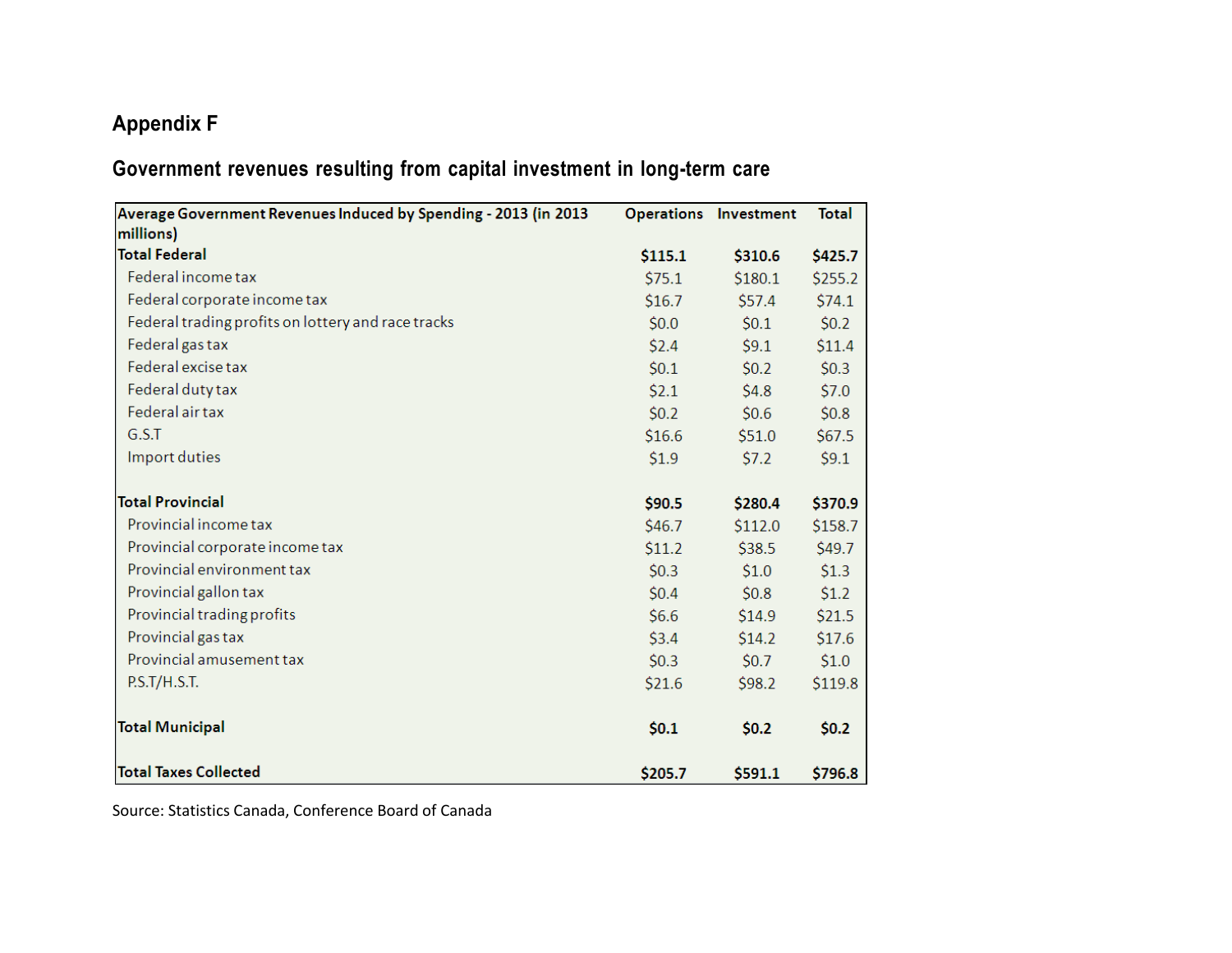# **Appendix F**

# **Government revenues resulting from capital investment in long-term care**

| Average Government Revenues Induced by Spending - 2013 (in 2013 |         | <b>Operations Investment</b> | <b>Total</b> |
|-----------------------------------------------------------------|---------|------------------------------|--------------|
| millions)                                                       |         |                              |              |
| <b>Total Federal</b>                                            | \$115.1 | \$310.6                      | \$425.7      |
| Federal income tax                                              | \$75.1  | \$180.1                      | \$255.2      |
| Federal corporate income tax                                    | \$16.7  | \$57.4                       | \$74.1       |
| Federal trading profits on lottery and race tracks              | \$0.0   | \$0.1                        | \$0.2\$      |
| Federal gas tax                                                 | \$2.4   | \$9.1                        | \$11.4       |
| Federal excise tax                                              | \$0.1   | \$0.2\$                      | \$0.3\$      |
| Federal duty tax                                                | \$2.1   | \$4.8\$                      | \$7.0        |
| Federal air tax                                                 | \$0.2\$ | \$0.6\$                      | \$0.8\$      |
| G.S.T                                                           | \$16.6  | \$51.0                       | \$67.5       |
| Import duties                                                   | \$1.9   | \$7.2                        | \$9.1        |
|                                                                 |         |                              |              |
| <b>Total Provincial</b>                                         | \$90.5  | \$280.4                      | \$370.9      |
| Provincial income tax                                           | \$46.7  | \$112.0                      | \$158.7      |
| Provincial corporate income tax                                 | \$11.2  | \$38.5                       | \$49.7       |
| Provincial environment tax                                      | \$0.3\$ | \$1.0                        | \$1.3        |
| Provincial gallon tax                                           | \$0.4\$ | \$0.8                        | \$1.2        |
| Provincial trading profits                                      | \$6.6\$ | \$14.9                       | \$21.5       |
| Provincial gas tax                                              | \$3.4   | \$14.2                       | \$17.6       |
| Provincial amusement tax                                        | \$0.3\$ | \$0.7                        | \$1.0        |
| P.S.T/H.S.T.                                                    | \$21.6  | \$98.2                       | \$119.8      |
|                                                                 |         |                              |              |
| <b>Total Municipal</b>                                          | \$0.1   | \$0.2\$                      | \$0.2\$      |
|                                                                 |         |                              |              |
| <b>Total Taxes Collected</b>                                    | \$205.7 | \$591.1                      | \$796.8      |

Source: Statistics Canada, Conference Board of Canada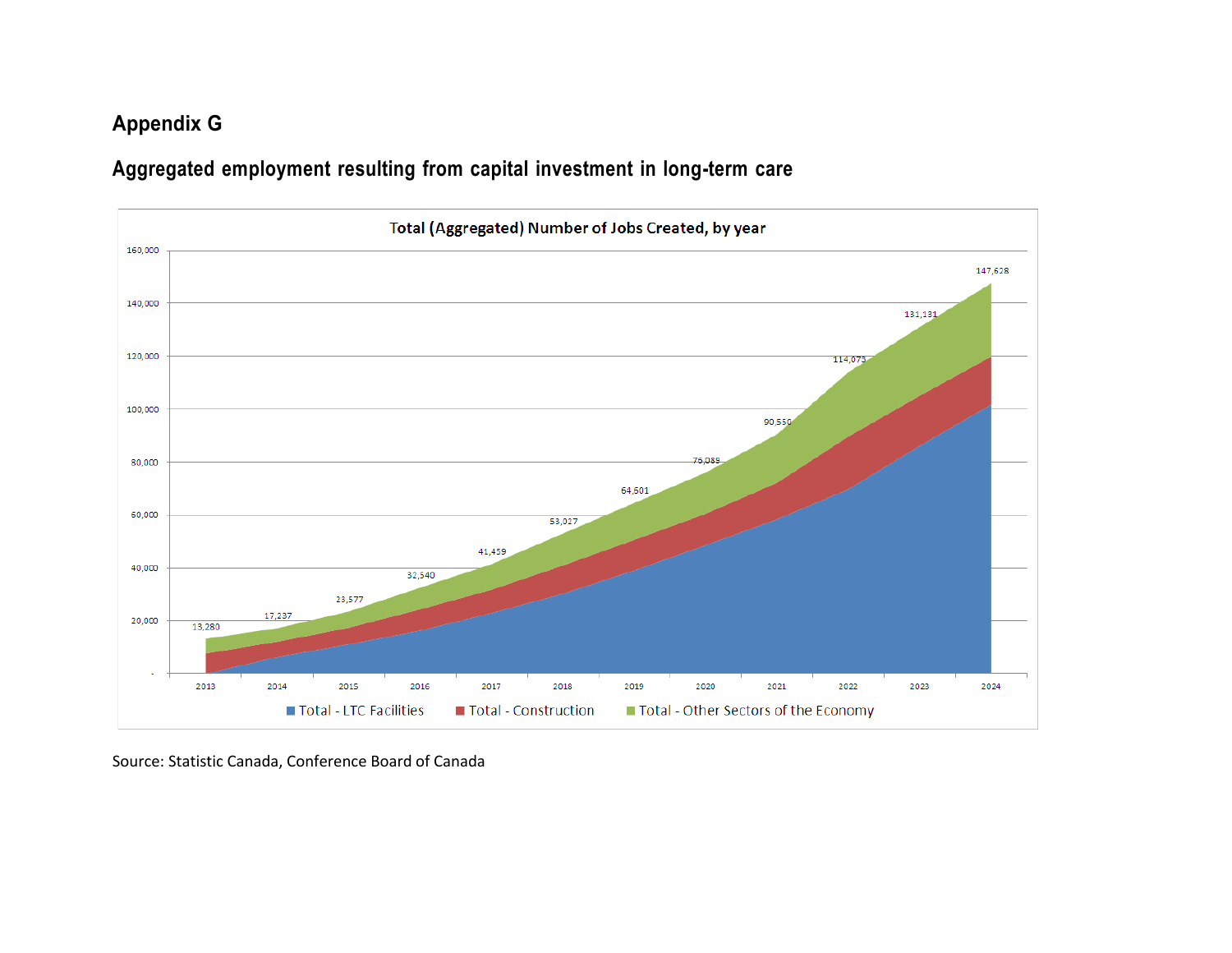# **Appendix G**

**Aggregated employment resulting from capital investment in long-term care**



Source: Statistic Canada, Conference Board of Canada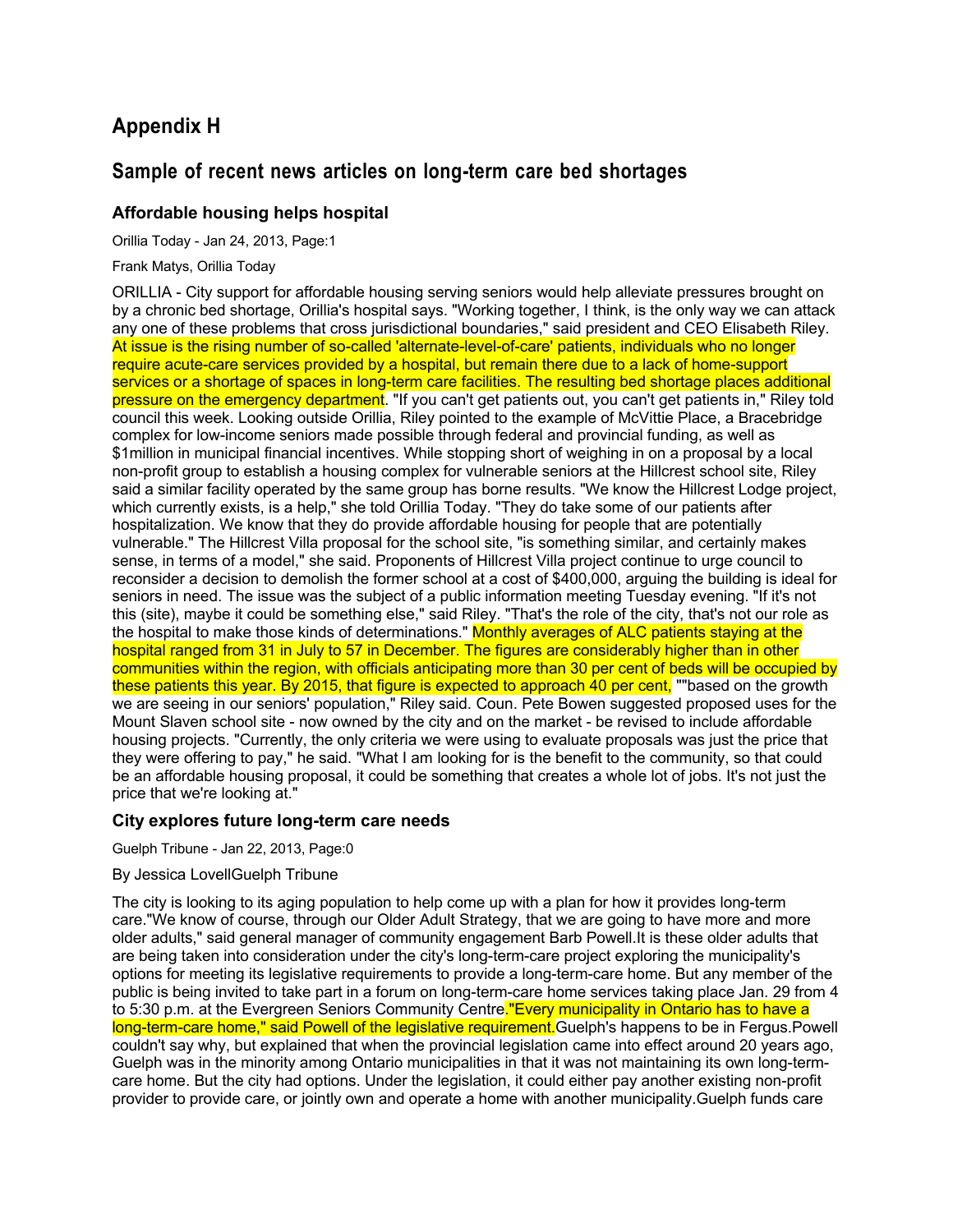# **Appendix H**

## **Sample of recent news articles on long-term care bed shortages**

## **Affordable housing helps hospital**

Orillia Today - Jan 24, 2013, Page:1

Frank Matys, Orillia Today

ORILLIA - City support for affordable housing serving seniors would help alleviate pressures brought on by a chronic bed shortage, Orillia's hospital says. "Working together, I think, is the only way we can attack any one of these problems that cross jurisdictional boundaries," said president and CEO Elisabeth Riley. At issue is the rising number of so-called 'alternate-level-of-care' patients, individuals who no longer require acute-care services provided by a hospital, but remain there due to a lack of home-support services or a shortage of spaces in long-term care facilities. The resulting bed shortage places additional pressure on the emergency department. "If you can't get patients out, you can't get patients in," Riley told council this week. Looking outside Orillia, Riley pointed to the example of McVittie Place, a Bracebridge complex for low-income seniors made possible through federal and provincial funding, as well as \$1million in municipal financial incentives. While stopping short of weighing in on a proposal by a local non-profit group to establish a housing complex for vulnerable seniors at the Hillcrest school site, Riley said a similar facility operated by the same group has borne results. "We know the Hillcrest Lodge project, which currently exists, is a help," she told Orillia Today. "They do take some of our patients after hospitalization. We know that they do provide affordable housing for people that are potentially vulnerable." The Hillcrest Villa proposal for the school site, "is something similar, and certainly makes sense, in terms of a model," she said. Proponents of Hillcrest Villa project continue to urge council to reconsider a decision to demolish the former school at a cost of \$400,000, arguing the building is ideal for seniors in need. The issue was the subject of a public information meeting Tuesday evening. "If it's not this (site), maybe it could be something else," said Riley. "That's the role of the city, that's not our role as the hospital to make those kinds of determinations." Monthly averages of ALC patients staying at the hospital ranged from 31 in July to 57 in December. The figures are considerably higher than in other communities within the region, with officials anticipating more than 30 per cent of beds will be occupied by these patients this year. By 2015, that figure is expected to approach 40 per cent, ""based on the growth we are seeing in our seniors' population," Riley said. Coun. Pete Bowen suggested proposed uses for the Mount Slaven school site - now owned by the city and on the market - be revised to include affordable housing projects. "Currently, the only criteria we were using to evaluate proposals was just the price that they were offering to pay," he said. "What I am looking for is the benefit to the community, so that could be an affordable housing proposal, it could be something that creates a whole lot of jobs. It's not just the price that we're looking at."

## **City explores future long-term care needs**

Guelph Tribune - Jan 22, 2013, Page:0

### By Jessica LovellGuelph Tribune

The city is looking to its aging population to help come up with a plan for how it provides long-term care."We know of course, through our Older Adult Strategy, that we are going to have more and more older adults," said general manager of community engagement Barb Powell.It is these older adults that are being taken into consideration under the city's long-term-care project exploring the municipality's options for meeting its legislative requirements to provide a long-term-care home. But any member of the public is being invited to take part in a forum on long-term-care home services taking place Jan. 29 from 4 to 5:30 p.m. at the Evergreen Seniors Community Centre."Every municipality in Ontario has to have a long-term-care home," said Powell of the legislative requirement. Guelph's happens to be in Fergus. Powell couldn't say why, but explained that when the provincial legislation came into effect around 20 years ago, Guelph was in the minority among Ontario municipalities in that it was not maintaining its own long-termcare home. But the city had options. Under the legislation, it could either pay another existing non-profit provider to provide care, or jointly own and operate a home with another municipality.Guelph funds care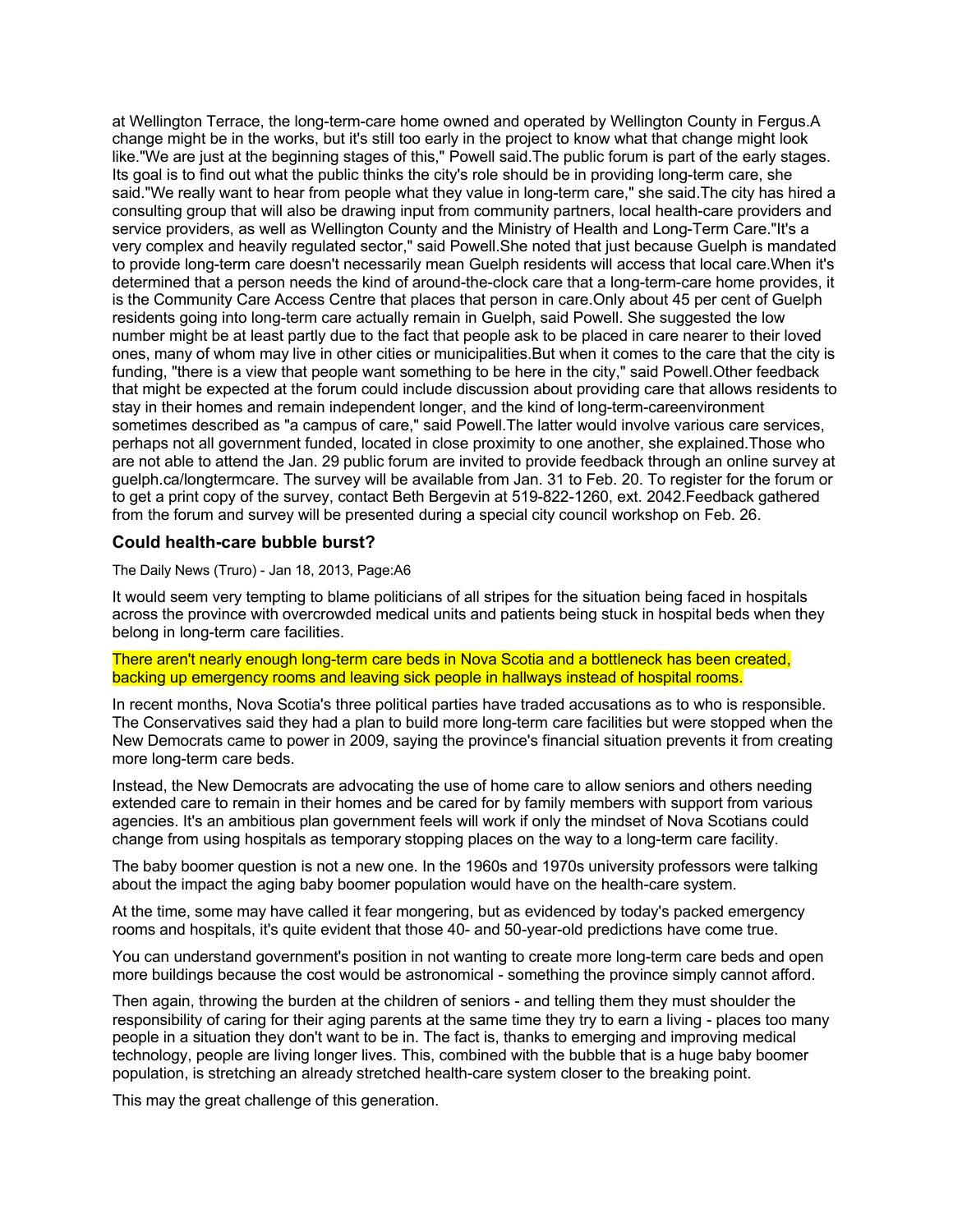at Wellington Terrace, the long-term-care home owned and operated by Wellington County in Fergus.A change might be in the works, but it's still too early in the project to know what that change might look like."We are just at the beginning stages of this," Powell said.The public forum is part of the early stages. Its goal is to find out what the public thinks the city's role should be in providing long-term care, she said."We really want to hear from people what they value in long-term care," she said.The city has hired a consulting group that will also be drawing input from community partners, local health-care providers and service providers, as well as Wellington County and the Ministry of Health and Long-Term Care."It's a very complex and heavily regulated sector," said Powell.She noted that just because Guelph is mandated to provide long-term care doesn't necessarily mean Guelph residents will access that local care.When it's determined that a person needs the kind of around-the-clock care that a long-term-care home provides, it is the Community Care Access Centre that places that person in care.Only about 45 per cent of Guelph residents going into long-term care actually remain in Guelph, said Powell. She suggested the low number might be at least partly due to the fact that people ask to be placed in care nearer to their loved ones, many of whom may live in other cities or municipalities.But when it comes to the care that the city is funding, "there is a view that people want something to be here in the city," said Powell.Other feedback that might be expected at the forum could include discussion about providing care that allows residents to stay in their homes and remain independent longer, and the kind of long-term-careenvironment sometimes described as "a campus of care," said Powell.The latter would involve various care services, perhaps not all government funded, located in close proximity to one another, she explained.Those who are not able to attend the Jan. 29 public forum are invited to provide feedback through an online survey at guelph.ca/longtermcare. The survey will be available from Jan. 31 to Feb. 20. To register for the forum or to get a print copy of the survey, contact Beth Bergevin at 519-822-1260, ext. 2042.Feedback gathered from the forum and survey will be presented during a special city council workshop on Feb. 26.

## **Could health-care bubble burst?**

The Daily News (Truro) - Jan 18, 2013, Page:A6

It would seem very tempting to blame politicians of all stripes for the situation being faced in hospitals across the province with overcrowded medical units and patients being stuck in hospital beds when they belong in long-term care facilities.

There aren't nearly enough long-term care beds in Nova Scotia and a bottleneck has been created, backing up emergency rooms and leaving sick people in hallways instead of hospital rooms.

In recent months, Nova Scotia's three political parties have traded accusations as to who is responsible. The Conservatives said they had a plan to build more long-term care facilities but were stopped when the New Democrats came to power in 2009, saying the province's financial situation prevents it from creating more long-term care beds.

Instead, the New Democrats are advocating the use of home care to allow seniors and others needing extended care to remain in their homes and be cared for by family members with support from various agencies. It's an ambitious plan government feels will work if only the mindset of Nova Scotians could change from using hospitals as temporary stopping places on the way to a long-term care facility.

The baby boomer question is not a new one. In the 1960s and 1970s university professors were talking about the impact the aging baby boomer population would have on the health-care system.

At the time, some may have called it fear mongering, but as evidenced by today's packed emergency rooms and hospitals, it's quite evident that those 40- and 50-year-old predictions have come true.

You can understand government's position in not wanting to create more long-term care beds and open more buildings because the cost would be astronomical - something the province simply cannot afford.

Then again, throwing the burden at the children of seniors - and telling them they must shoulder the responsibility of caring for their aging parents at the same time they try to earn a living - places too many people in a situation they don't want to be in. The fact is, thanks to emerging and improving medical technology, people are living longer lives. This, combined with the bubble that is a huge baby boomer population, is stretching an already stretched health-care system closer to the breaking point.

This may the great challenge of this generation.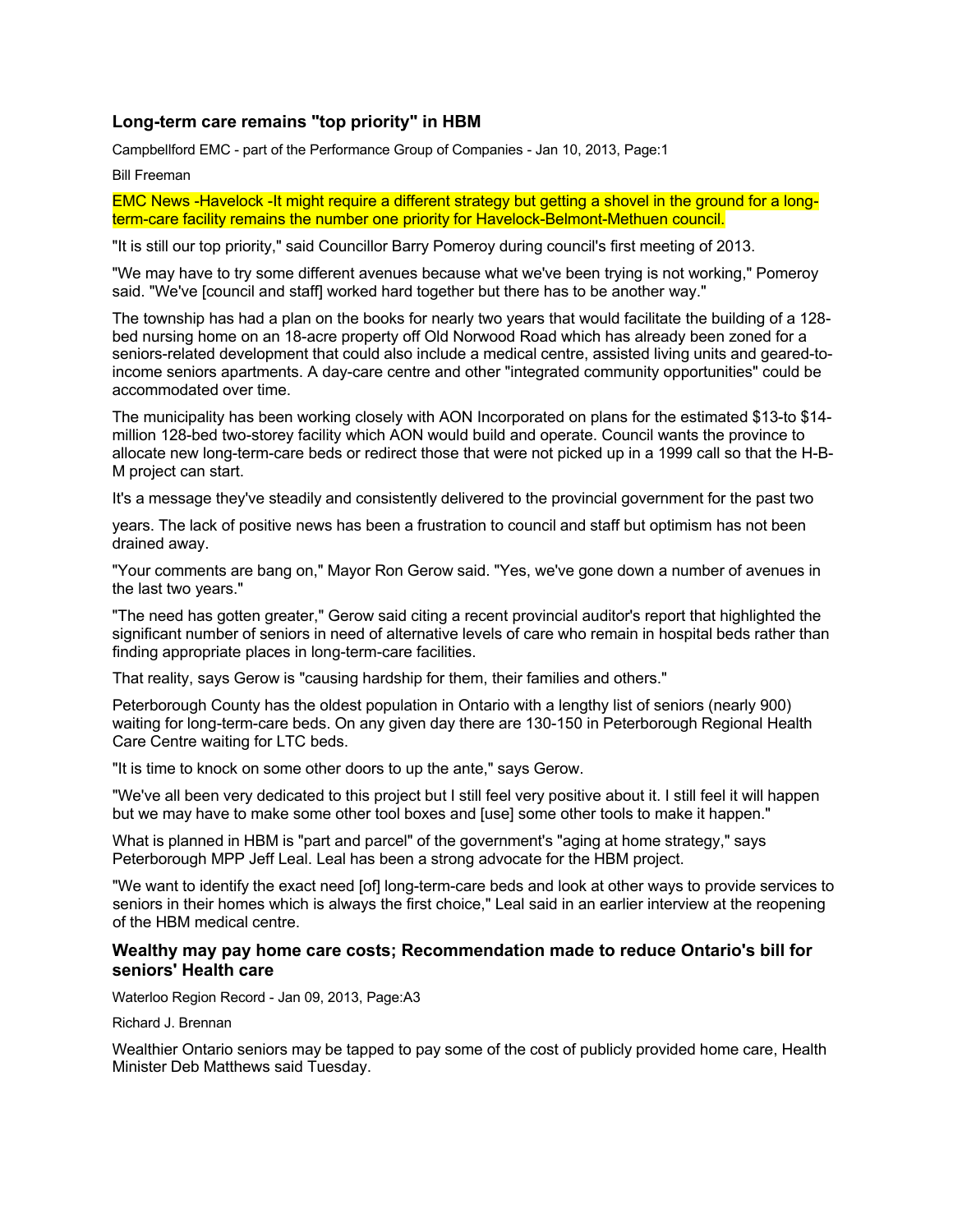## **Long-term care remains "top priority" in HBM**

Campbellford EMC - part of the Performance Group of Companies - Jan 10, 2013, Page:1

Bill Freeman

EMC News -Havelock -It might require a different strategy but getting a shovel in the ground for a longterm-care facility remains the number one priority for Havelock-Belmont-Methuen council.

"It is still our top priority," said Councillor Barry Pomeroy during council's first meeting of 2013.

"We may have to try some different avenues because what we've been trying is not working," Pomeroy said. "We've [council and staff] worked hard together but there has to be another way."

The township has had a plan on the books for nearly two years that would facilitate the building of a 128 bed nursing home on an 18-acre property off Old Norwood Road which has already been zoned for a seniors-related development that could also include a medical centre, assisted living units and geared-toincome seniors apartments. A day-care centre and other "integrated community opportunities" could be accommodated over time.

The municipality has been working closely with AON Incorporated on plans for the estimated \$13-to \$14 million 128-bed two-storey facility which AON would build and operate. Council wants the province to allocate new long-term-care beds or redirect those that were not picked up in a 1999 call so that the H-B-M project can start.

It's a message they've steadily and consistently delivered to the provincial government for the past two

years. The lack of positive news has been a frustration to council and staff but optimism has not been drained away.

"Your comments are bang on," Mayor Ron Gerow said. "Yes, we've gone down a number of avenues in the last two years."

"The need has gotten greater," Gerow said citing a recent provincial auditor's report that highlighted the significant number of seniors in need of alternative levels of care who remain in hospital beds rather than finding appropriate places in long-term-care facilities.

That reality, says Gerow is "causing hardship for them, their families and others."

Peterborough County has the oldest population in Ontario with a lengthy list of seniors (nearly 900) waiting for long-term-care beds. On any given day there are 130-150 in Peterborough Regional Health Care Centre waiting for LTC beds.

"It is time to knock on some other doors to up the ante," says Gerow.

"We've all been very dedicated to this project but I still feel very positive about it. I still feel it will happen but we may have to make some other tool boxes and [use] some other tools to make it happen."

What is planned in HBM is "part and parcel" of the government's "aging at home strategy," says Peterborough MPP Jeff Leal. Leal has been a strong advocate for the HBM project.

"We want to identify the exact need [of] long-term-care beds and look at other ways to provide services to seniors in their homes which is always the first choice," Leal said in an earlier interview at the reopening of the HBM medical centre.

### **Wealthy may pay home care costs; Recommendation made to reduce Ontario's bill for seniors' Health care**

Waterloo Region Record - Jan 09, 2013, Page:A3

Richard J. Brennan

Wealthier Ontario seniors may be tapped to pay some of the cost of publicly provided home care, Health Minister Deb Matthews said Tuesday.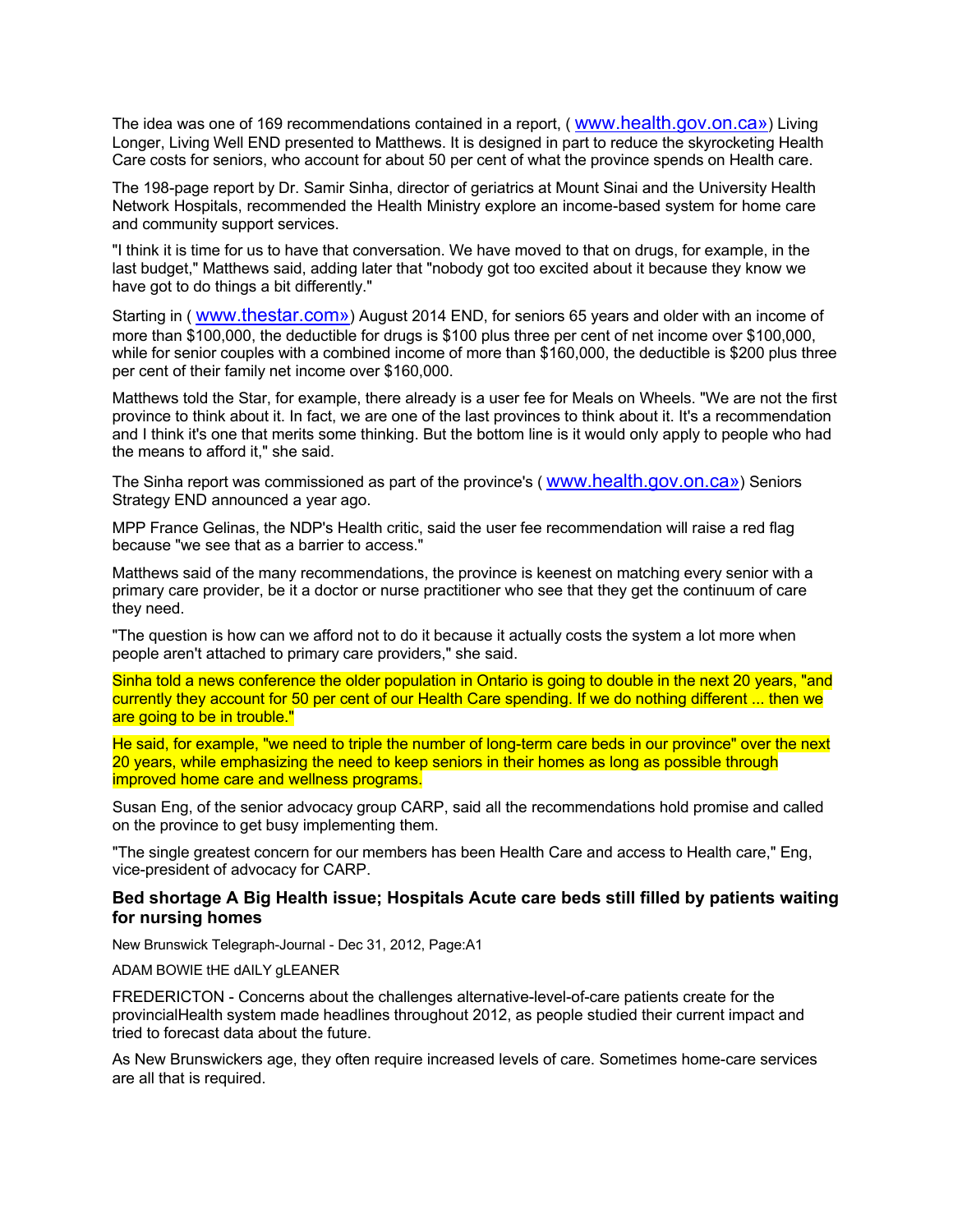The idea was one of 169 recommendations contained in a report, ( [www.health.gov.on.ca»](www.health.gov.on.ca)) Living Longer, Living Well END presented to Matthews. It is designed in part to reduce the skyrocketing Health Care costs for seniors, who account for about 50 per cent of what the province spends on Health care.

The 198-page report by Dr. Samir Sinha, director of geriatrics at Mount Sinai and the University Health Network Hospitals, recommended the Health Ministry explore an income-based system for home care and community support services.

"I think it is time for us to have that conversation. We have moved to that on drugs, for example, in the last budget," Matthews said, adding later that "nobody got too excited about it because they know we have got to do things a bit differently."

Starting in (<www.thestar.com>») August 2014 END, for seniors 65 years and older with an income of more than \$100,000, the deductible for drugs is \$100 plus three per cent of net income over \$100,000, while for senior couples with a combined income of more than \$160,000, the deductible is \$200 plus three per cent of their family net income over \$160,000.

Matthews told the Star, for example, there already is a user fee for Meals on Wheels. "We are not the first province to think about it. In fact, we are one of the last provinces to think about it. It's a recommendation and I think it's one that merits some thinking. But the bottom line is it would only apply to people who had the means to afford it," she said.

The Sinha report was commissioned as part of the province's ( [www.health.gov.on.ca»](www.health.gov.on.ca)) Seniors Strategy END announced a year ago.

MPP France Gelinas, the NDP's Health critic, said the user fee recommendation will raise a red flag because "we see that as a barrier to access."

Matthews said of the many recommendations, the province is keenest on matching every senior with a primary care provider, be it a doctor or nurse practitioner who see that they get the continuum of care they need.

"The question is how can we afford not to do it because it actually costs the system a lot more when people aren't attached to primary care providers," she said.

Sinha told a news conference the older population in Ontario is going to double in the next 20 years, "and currently they account for 50 per cent of our Health Care spending. If we do nothing different ... then we are going to be in trouble."

He said, for example, "we need to triple the number of long-term care beds in our province" over the next 20 years, while emphasizing the need to keep seniors in their homes as long as possible through improved home care and wellness programs.

Susan Eng, of the senior advocacy group CARP, said all the recommendations hold promise and called on the province to get busy implementing them.

"The single greatest concern for our members has been Health Care and access to Health care," Eng, vice-president of advocacy for CARP.

### **Bed shortage A Big Health issue; Hospitals Acute care beds still filled by patients waiting for nursing homes**

New Brunswick Telegraph-Journal - Dec 31, 2012, Page:A1

ADAM BOWIE tHE dAILY gLEANER

FREDERICTON - Concerns about the challenges alternative-level-of-care patients create for the provincialHealth system made headlines throughout 2012, as people studied their current impact and tried to forecast data about the future.

As New Brunswickers age, they often require increased levels of care. Sometimes home-care services are all that is required.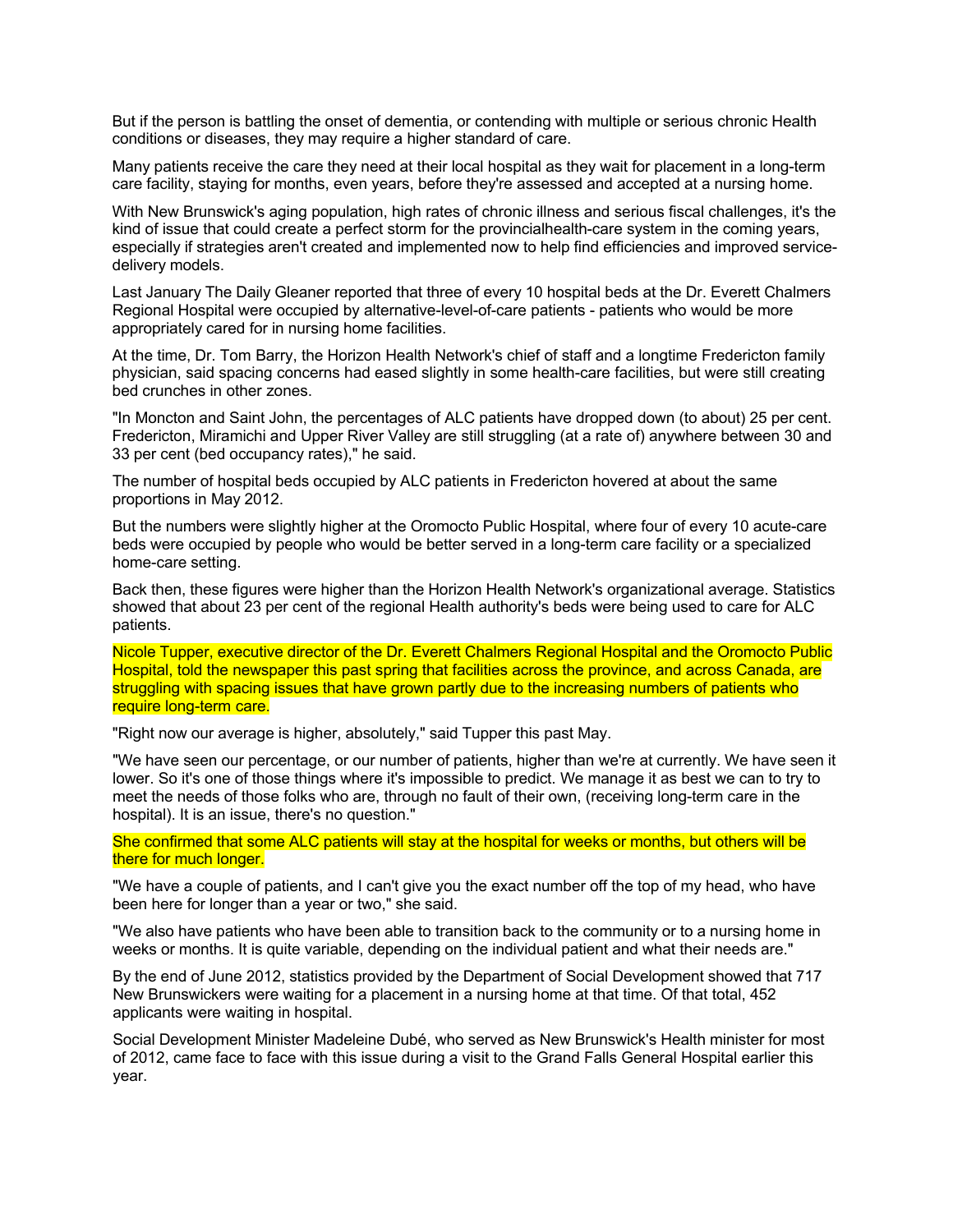But if the person is battling the onset of dementia, or contending with multiple or serious chronic Health conditions or diseases, they may require a higher standard of care.

Many patients receive the care they need at their local hospital as they wait for placement in a long-term care facility, staying for months, even years, before they're assessed and accepted at a nursing home.

With New Brunswick's aging population, high rates of chronic illness and serious fiscal challenges, it's the kind of issue that could create a perfect storm for the provincialhealth-care system in the coming years, especially if strategies aren't created and implemented now to help find efficiencies and improved servicedelivery models.

Last January The Daily Gleaner reported that three of every 10 hospital beds at the Dr. Everett Chalmers Regional Hospital were occupied by alternative-level-of-care patients - patients who would be more appropriately cared for in nursing home facilities.

At the time, Dr. Tom Barry, the Horizon Health Network's chief of staff and a longtime Fredericton family physician, said spacing concerns had eased slightly in some health-care facilities, but were still creating bed crunches in other zones.

"In Moncton and Saint John, the percentages of ALC patients have dropped down (to about) 25 per cent. Fredericton, Miramichi and Upper River Valley are still struggling (at a rate of) anywhere between 30 and 33 per cent (bed occupancy rates)," he said.

The number of hospital beds occupied by ALC patients in Fredericton hovered at about the same proportions in May 2012.

But the numbers were slightly higher at the Oromocto Public Hospital, where four of every 10 acute-care beds were occupied by people who would be better served in a long-term care facility or a specialized home-care setting.

Back then, these figures were higher than the Horizon Health Network's organizational average. Statistics showed that about 23 per cent of the regional Health authority's beds were being used to care for ALC patients.

Nicole Tupper, executive director of the Dr. Everett Chalmers Regional Hospital and the Oromocto Public Hospital, told the newspaper this past spring that facilities across the province, and across Canada, are struggling with spacing issues that have grown partly due to the increasing numbers of patients who require long-term care.

"Right now our average is higher, absolutely," said Tupper this past May.

"We have seen our percentage, or our number of patients, higher than we're at currently. We have seen it lower. So it's one of those things where it's impossible to predict. We manage it as best we can to try to meet the needs of those folks who are, through no fault of their own, (receiving long-term care in the hospital). It is an issue, there's no question."

She confirmed that some ALC patients will stay at the hospital for weeks or months, but others will be there for much longer.

"We have a couple of patients, and I can't give you the exact number off the top of my head, who have been here for longer than a year or two," she said.

"We also have patients who have been able to transition back to the community or to a nursing home in weeks or months. It is quite variable, depending on the individual patient and what their needs are."

By the end of June 2012, statistics provided by the Department of Social Development showed that 717 New Brunswickers were waiting for a placement in a nursing home at that time. Of that total, 452 applicants were waiting in hospital.

Social Development Minister Madeleine Dubé, who served as New Brunswick's Health minister for most of 2012, came face to face with this issue during a visit to the Grand Falls General Hospital earlier this year.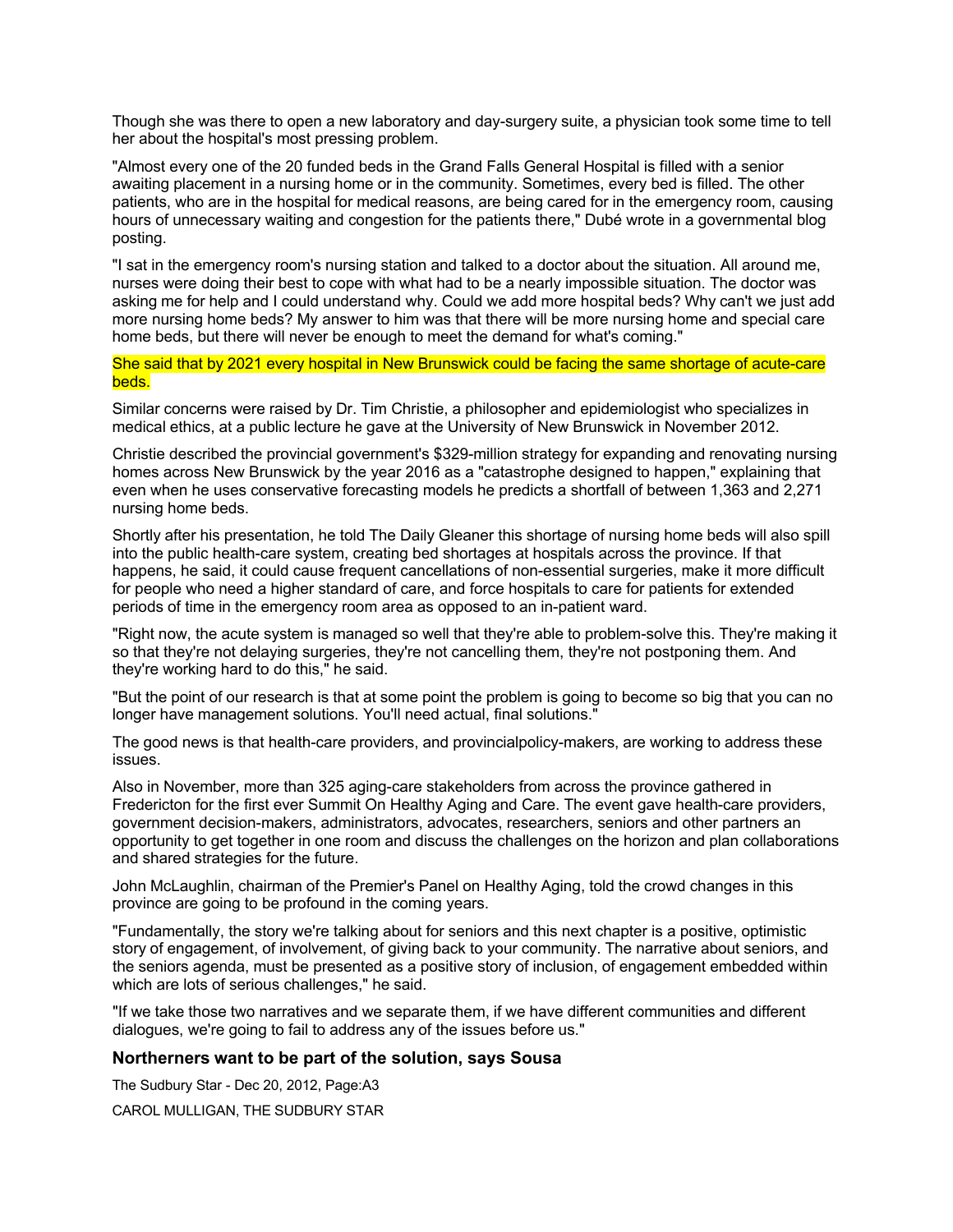Though she was there to open a new laboratory and day-surgery suite, a physician took some time to tell her about the hospital's most pressing problem.

"Almost every one of the 20 funded beds in the Grand Falls General Hospital is filled with a senior awaiting placement in a nursing home or in the community. Sometimes, every bed is filled. The other patients, who are in the hospital for medical reasons, are being cared for in the emergency room, causing hours of unnecessary waiting and congestion for the patients there," Dubé wrote in a governmental blog posting.

"I sat in the emergency room's nursing station and talked to a doctor about the situation. All around me, nurses were doing their best to cope with what had to be a nearly impossible situation. The doctor was asking me for help and I could understand why. Could we add more hospital beds? Why can't we just add more nursing home beds? My answer to him was that there will be more nursing home and special care home beds, but there will never be enough to meet the demand for what's coming."

She said that by 2021 every hospital in New Brunswick could be facing the same shortage of acute-care beds.

Similar concerns were raised by Dr. Tim Christie, a philosopher and epidemiologist who specializes in medical ethics, at a public lecture he gave at the University of New Brunswick in November 2012.

Christie described the provincial government's \$329-million strategy for expanding and renovating nursing homes across New Brunswick by the year 2016 as a "catastrophe designed to happen," explaining that even when he uses conservative forecasting models he predicts a shortfall of between 1,363 and 2,271 nursing home beds.

Shortly after his presentation, he told The Daily Gleaner this shortage of nursing home beds will also spill into the public health-care system, creating bed shortages at hospitals across the province. If that happens, he said, it could cause frequent cancellations of non-essential surgeries, make it more difficult for people who need a higher standard of care, and force hospitals to care for patients for extended periods of time in the emergency room area as opposed to an in-patient ward.

"Right now, the acute system is managed so well that they're able to problem-solve this. They're making it so that they're not delaying surgeries, they're not cancelling them, they're not postponing them. And they're working hard to do this," he said.

"But the point of our research is that at some point the problem is going to become so big that you can no longer have management solutions. You'll need actual, final solutions."

The good news is that health-care providers, and provincialpolicy-makers, are working to address these issues.

Also in November, more than 325 aging-care stakeholders from across the province gathered in Fredericton for the first ever Summit On Healthy Aging and Care. The event gave health-care providers, government decision-makers, administrators, advocates, researchers, seniors and other partners an opportunity to get together in one room and discuss the challenges on the horizon and plan collaborations and shared strategies for the future.

John McLaughlin, chairman of the Premier's Panel on Healthy Aging, told the crowd changes in this province are going to be profound in the coming years.

"Fundamentally, the story we're talking about for seniors and this next chapter is a positive, optimistic story of engagement, of involvement, of giving back to your community. The narrative about seniors, and the seniors agenda, must be presented as a positive story of inclusion, of engagement embedded within which are lots of serious challenges," he said.

"If we take those two narratives and we separate them, if we have different communities and different dialogues, we're going to fail to address any of the issues before us."

### **Northerners want to be part of the solution, says Sousa**

The Sudbury Star - Dec 20, 2012, Page:A3 CAROL MULLIGAN, THE SUDBURY STAR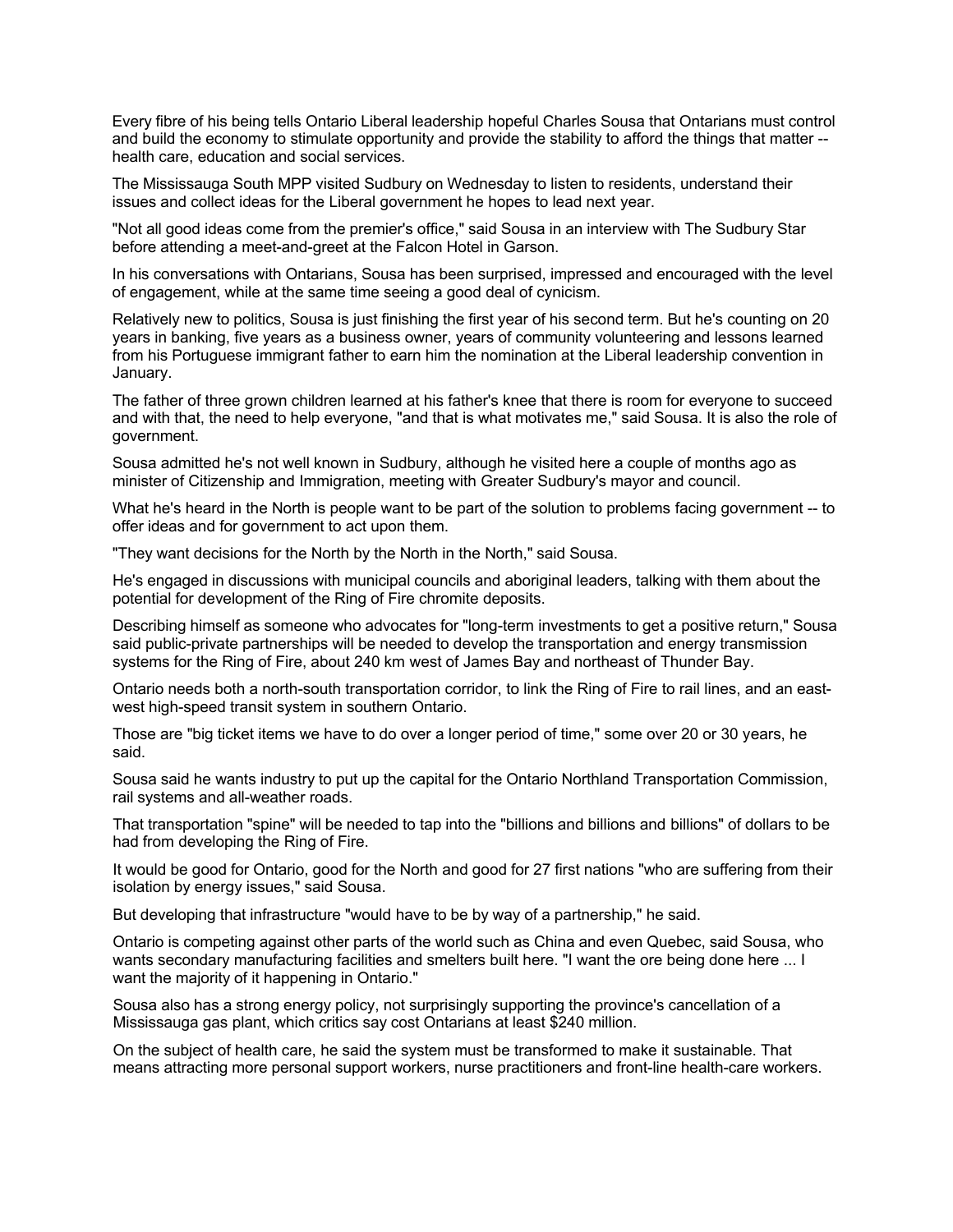Every fibre of his being tells Ontario Liberal leadership hopeful Charles Sousa that Ontarians must control and build the economy to stimulate opportunity and provide the stability to afford the things that matter - health care, education and social services.

The Mississauga South MPP visited Sudbury on Wednesday to listen to residents, understand their issues and collect ideas for the Liberal government he hopes to lead next year.

"Not all good ideas come from the premier's office," said Sousa in an interview with The Sudbury Star before attending a meet-and-greet at the Falcon Hotel in Garson.

In his conversations with Ontarians, Sousa has been surprised, impressed and encouraged with the level of engagement, while at the same time seeing a good deal of cynicism.

Relatively new to politics, Sousa is just finishing the first year of his second term. But he's counting on 20 years in banking, five years as a business owner, years of community volunteering and lessons learned from his Portuguese immigrant father to earn him the nomination at the Liberal leadership convention in January.

The father of three grown children learned at his father's knee that there is room for everyone to succeed and with that, the need to help everyone, "and that is what motivates me," said Sousa. It is also the role of government.

Sousa admitted he's not well known in Sudbury, although he visited here a couple of months ago as minister of Citizenship and Immigration, meeting with Greater Sudbury's mayor and council.

What he's heard in the North is people want to be part of the solution to problems facing government -- to offer ideas and for government to act upon them.

"They want decisions for the North by the North in the North," said Sousa.

He's engaged in discussions with municipal councils and aboriginal leaders, talking with them about the potential for development of the Ring of Fire chromite deposits.

Describing himself as someone who advocates for "long-term investments to get a positive return," Sousa said public-private partnerships will be needed to develop the transportation and energy transmission systems for the Ring of Fire, about 240 km west of James Bay and northeast of Thunder Bay.

Ontario needs both a north-south transportation corridor, to link the Ring of Fire to rail lines, and an eastwest high-speed transit system in southern Ontario.

Those are "big ticket items we have to do over a longer period of time," some over 20 or 30 years, he said.

Sousa said he wants industry to put up the capital for the Ontario Northland Transportation Commission, rail systems and all-weather roads.

That transportation "spine" will be needed to tap into the "billions and billions and billions" of dollars to be had from developing the Ring of Fire.

It would be good for Ontario, good for the North and good for 27 first nations "who are suffering from their isolation by energy issues," said Sousa.

But developing that infrastructure "would have to be by way of a partnership," he said.

Ontario is competing against other parts of the world such as China and even Quebec, said Sousa, who wants secondary manufacturing facilities and smelters built here. "I want the ore being done here ... I want the majority of it happening in Ontario."

Sousa also has a strong energy policy, not surprisingly supporting the province's cancellation of a Mississauga gas plant, which critics say cost Ontarians at least \$240 million.

On the subject of health care, he said the system must be transformed to make it sustainable. That means attracting more personal support workers, nurse practitioners and front-line health-care workers.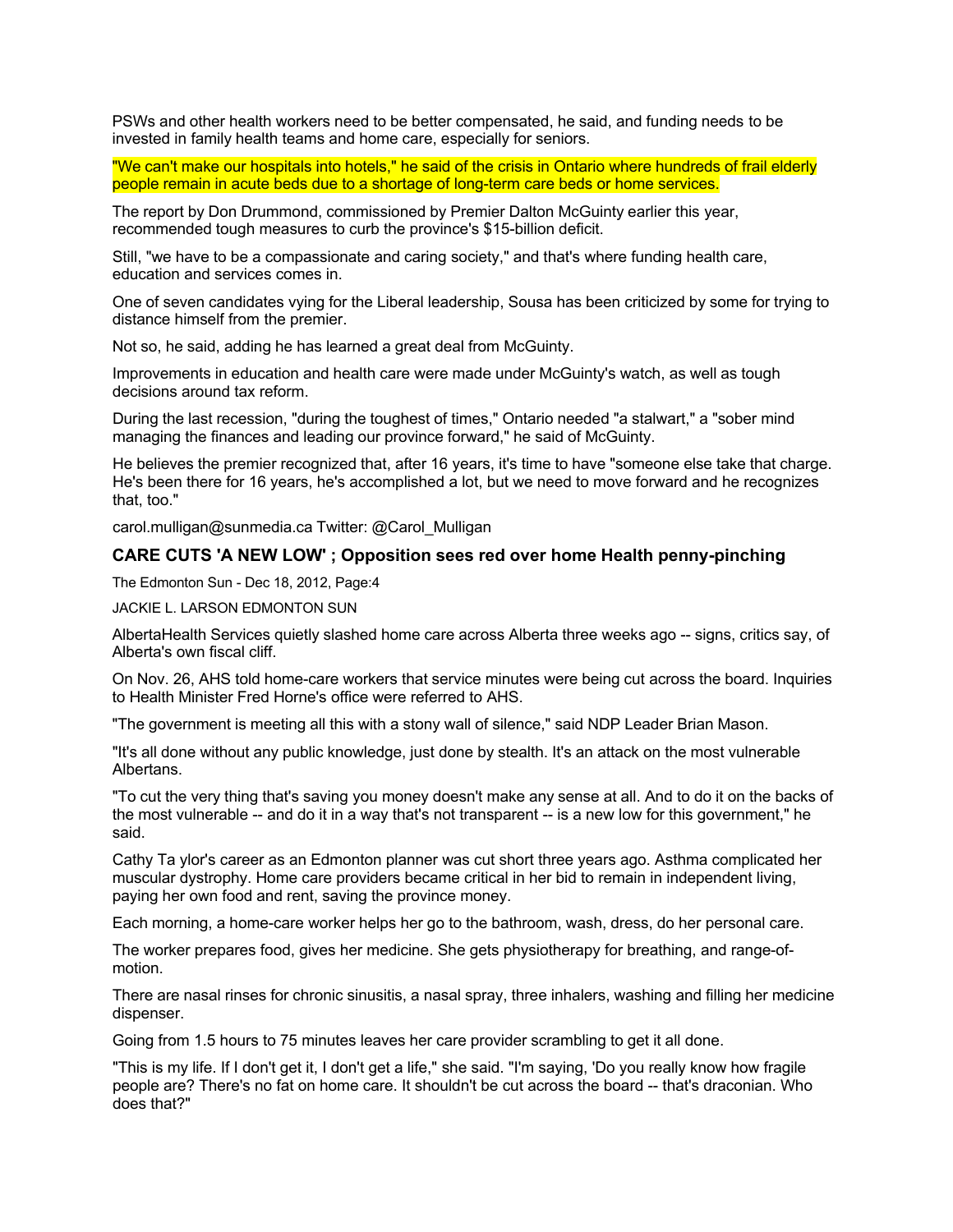PSWs and other health workers need to be better compensated, he said, and funding needs to be invested in family health teams and home care, especially for seniors.

"We can't make our hospitals into hotels," he said of the crisis in Ontario where hundreds of frail elderly people remain in acute beds due to a shortage of long-term care beds or home services.

The report by Don Drummond, commissioned by Premier Dalton McGuinty earlier this year, recommended tough measures to curb the province's \$15-billion deficit.

Still, "we have to be a compassionate and caring society," and that's where funding health care, education and services comes in.

One of seven candidates vying for the Liberal leadership, Sousa has been criticized by some for trying to distance himself from the premier.

Not so, he said, adding he has learned a great deal from McGuinty.

Improvements in education and health care were made under McGuinty's watch, as well as tough decisions around tax reform.

During the last recession, "during the toughest of times," Ontario needed "a stalwart," a "sober mind managing the finances and leading our province forward," he said of McGuinty.

He believes the premier recognized that, after 16 years, it's time to have "someone else take that charge. He's been there for 16 years, he's accomplished a lot, but we need to move forward and he recognizes that, too."

[carol.mulligan@sunmedia.ca](mailto:carol.mulligan@sunmedia.ca) Twitter: [@Carol\\_Mulligan](https://twitter.com/carol_mulligan?lang=en)

## **CARE CUTS 'A NEW LOW' ; Opposition sees red over home Health penny-pinching**

The Edmonton Sun - Dec 18, 2012, Page:4

JACKIE L. LARSON EDMONTON SUN

AlbertaHealth Services quietly slashed home care across Alberta three weeks ago -- signs, critics say, of Alberta's own fiscal cliff.

On Nov. 26, AHS told home-care workers that service minutes were being cut across the board. Inquiries to Health Minister Fred Horne's office were referred to AHS.

"The government is meeting all this with a stony wall of silence," said NDP Leader Brian Mason.

"It's all done without any public knowledge, just done by stealth. It's an attack on the most vulnerable Albertans.

"To cut the very thing that's saving you money doesn't make any sense at all. And to do it on the backs of the most vulnerable -- and do it in a way that's not transparent -- is a new low for this government," he said.

Cathy Ta ylor's career as an Edmonton planner was cut short three years ago. Asthma complicated her muscular dystrophy. Home care providers became critical in her bid to remain in independent living, paying her own food and rent, saving the province money.

Each morning, a home-care worker helps her go to the bathroom, wash, dress, do her personal care.

The worker prepares food, gives her medicine. She gets physiotherapy for breathing, and range-ofmotion.

There are nasal rinses for chronic sinusitis, a nasal spray, three inhalers, washing and filling her medicine dispenser.

Going from 1.5 hours to 75 minutes leaves her care provider scrambling to get it all done.

"This is my life. If I don't get it, I don't get a life," she said. "I'm saying, 'Do you really know how fragile people are? There's no fat on home care. It shouldn't be cut across the board -- that's draconian. Who does that?"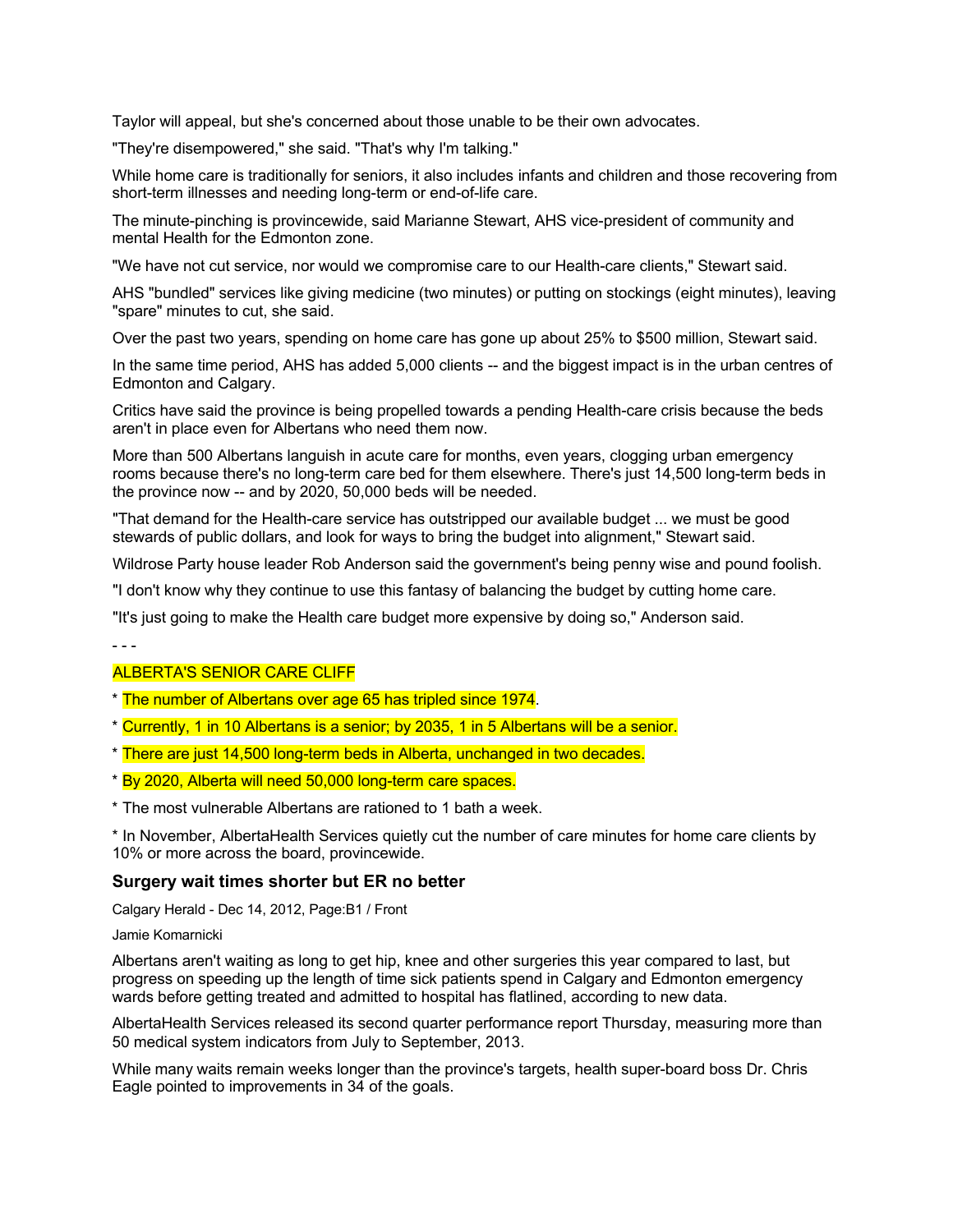Taylor will appeal, but she's concerned about those unable to be their own advocates.

"They're disempowered," she said. "That's why I'm talking."

While home care is traditionally for seniors, it also includes infants and children and those recovering from short-term illnesses and needing long-term or end-of-life care.

The minute-pinching is provincewide, said Marianne Stewart, AHS vice-president of community and mental Health for the Edmonton zone.

"We have not cut service, nor would we compromise care to our Health-care clients," Stewart said.

AHS "bundled" services like giving medicine (two minutes) or putting on stockings (eight minutes), leaving "spare" minutes to cut, she said.

Over the past two years, spending on home care has gone up about 25% to \$500 million, Stewart said.

In the same time period, AHS has added 5,000 clients -- and the biggest impact is in the urban centres of Edmonton and Calgary.

Critics have said the province is being propelled towards a pending Health-care crisis because the beds aren't in place even for Albertans who need them now.

More than 500 Albertans languish in acute care for months, even years, clogging urban emergency rooms because there's no long-term care bed for them elsewhere. There's just 14,500 long-term beds in the province now -- and by 2020, 50,000 beds will be needed.

"That demand for the Health-care service has outstripped our available budget ... we must be good stewards of public dollars, and look for ways to bring the budget into alignment," Stewart said.

Wildrose Party house leader Rob Anderson said the government's being penny wise and pound foolish.

"I don't know why they continue to use this fantasy of balancing the budget by cutting home care.

"It's just going to make the Health care budget more expensive by doing so," Anderson said.

- - -

#### ALBERTA'S SENIOR CARE CLIFF

- \* The number of Albertans over age 65 has tripled since 1974.
- \* Currently, 1 in 10 Albertans is a senior; by 2035, 1 in 5 Albertans will be a senior.
- \* There are just 14,500 long-term beds in Alberta, unchanged in two decades.
- \* By 2020, Alberta will need 50,000 long-term care spaces.
- \* The most vulnerable Albertans are rationed to 1 bath a week.

\* In November, AlbertaHealth Services quietly cut the number of care minutes for home care clients by 10% or more across the board, provincewide.

#### **Surgery wait times shorter but ER no better**

Calgary Herald - Dec 14, 2012, Page:B1 / Front

#### Jamie Komarnicki

Albertans aren't waiting as long to get hip, knee and other surgeries this year compared to last, but progress on speeding up the length of time sick patients spend in Calgary and Edmonton emergency wards before getting treated and admitted to hospital has flatlined, according to new data.

AlbertaHealth Services released its second quarter performance report Thursday, measuring more than 50 medical system indicators from July to September, 2013.

While many waits remain weeks longer than the province's targets, health super-board boss Dr. Chris Eagle pointed to improvements in 34 of the goals.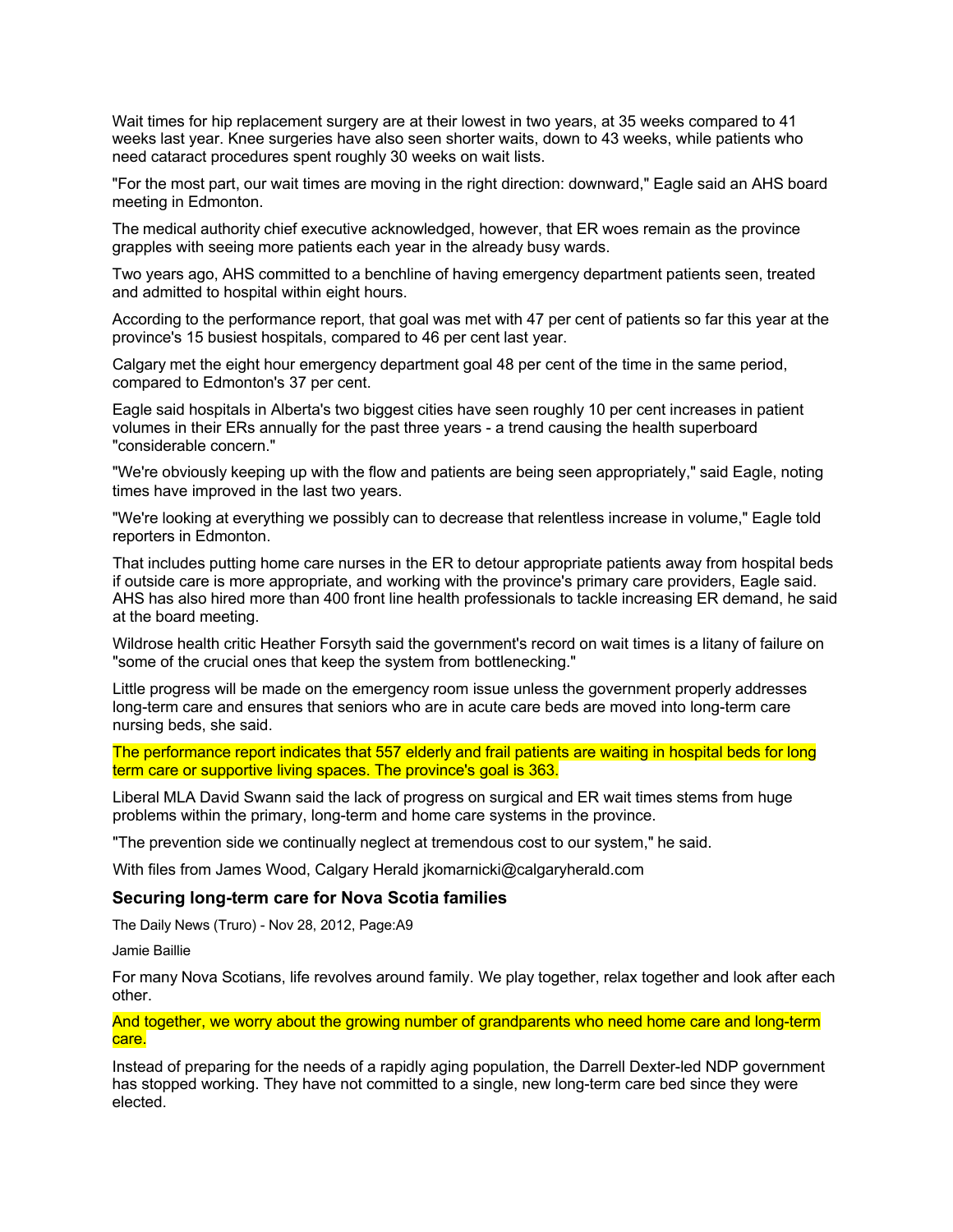Wait times for hip replacement surgery are at their lowest in two years, at 35 weeks compared to 41 weeks last year. Knee surgeries have also seen shorter waits, down to 43 weeks, while patients who need cataract procedures spent roughly 30 weeks on wait lists.

"For the most part, our wait times are moving in the right direction: downward," Eagle said an AHS board meeting in Edmonton.

The medical authority chief executive acknowledged, however, that ER woes remain as the province grapples with seeing more patients each year in the already busy wards.

Two years ago, AHS committed to a benchline of having emergency department patients seen, treated and admitted to hospital within eight hours.

According to the performance report, that goal was met with 47 per cent of patients so far this year at the province's 15 busiest hospitals, compared to 46 per cent last year.

Calgary met the eight hour emergency department goal 48 per cent of the time in the same period, compared to Edmonton's 37 per cent.

Eagle said hospitals in Alberta's two biggest cities have seen roughly 10 per cent increases in patient volumes in their ERs annually for the past three years - a trend causing the health superboard "considerable concern."

"We're obviously keeping up with the flow and patients are being seen appropriately," said Eagle, noting times have improved in the last two years.

"We're looking at everything we possibly can to decrease that relentless increase in volume," Eagle told reporters in Edmonton.

That includes putting home care nurses in the ER to detour appropriate patients away from hospital beds if outside care is more appropriate, and working with the province's primary care providers, Eagle said. AHS has also hired more than 400 front line health professionals to tackle increasing ER demand, he said at the board meeting.

Wildrose health critic Heather Forsyth said the government's record on wait times is a litany of failure on "some of the crucial ones that keep the system from bottlenecking."

Little progress will be made on the emergency room issue unless the government properly addresses long-term care and ensures that seniors who are in acute care beds are moved into long-term care nursing beds, she said.

The performance report indicates that 557 elderly and frail patients are waiting in hospital beds for long term care or supportive living spaces. The province's goal is 363.

Liberal MLA David Swann said the lack of progress on surgical and ER wait times stems from huge problems within the primary, long-term and home care systems in the province.

"The prevention side we continually neglect at tremendous cost to our system," he said.

With files from James Wood, Calgary Herald [jkomarnicki@calgaryherald.com](mailto:jkomarnicki@calgaryherald.com)

## **Securing long-term care for Nova Scotia families**

The Daily News (Truro) - Nov 28, 2012, Page:A9

Jamie Baillie

For many Nova Scotians, life revolves around family. We play together, relax together and look after each other.

And together, we worry about the growing number of grandparents who need home care and long-term care.

Instead of preparing for the needs of a rapidly aging population, the Darrell Dexter-led NDP government has stopped working. They have not committed to a single, new long-term care bed since they were elected.